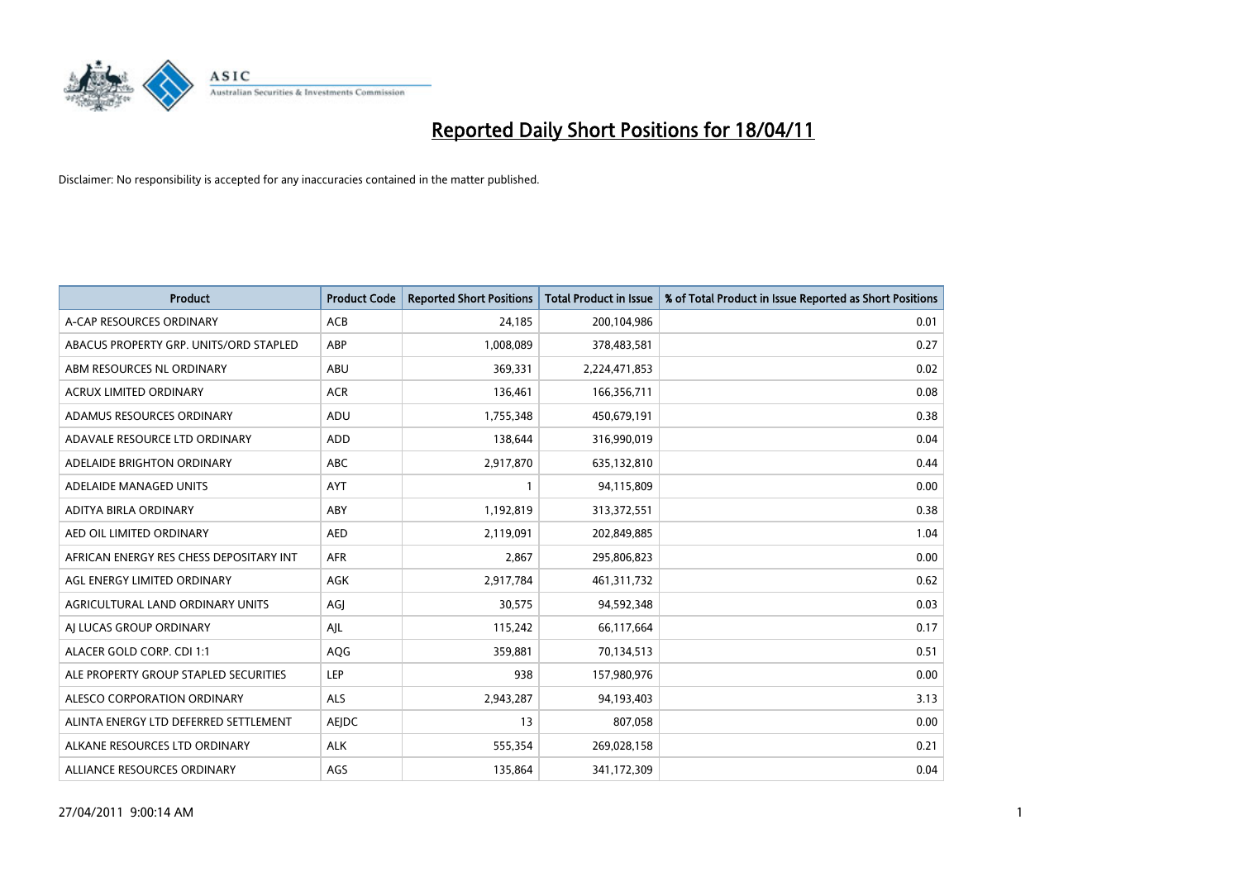

| <b>Product</b>                          | <b>Product Code</b> | <b>Reported Short Positions</b> | Total Product in Issue | % of Total Product in Issue Reported as Short Positions |
|-----------------------------------------|---------------------|---------------------------------|------------------------|---------------------------------------------------------|
| A-CAP RESOURCES ORDINARY                | <b>ACB</b>          | 24,185                          | 200,104,986            | 0.01                                                    |
| ABACUS PROPERTY GRP. UNITS/ORD STAPLED  | ABP                 | 1,008,089                       | 378,483,581            | 0.27                                                    |
| ABM RESOURCES NL ORDINARY               | ABU                 | 369,331                         | 2,224,471,853          | 0.02                                                    |
| ACRUX LIMITED ORDINARY                  | <b>ACR</b>          | 136,461                         | 166,356,711            | 0.08                                                    |
| ADAMUS RESOURCES ORDINARY               | ADU                 | 1,755,348                       | 450,679,191            | 0.38                                                    |
| ADAVALE RESOURCE LTD ORDINARY           | ADD                 | 138,644                         | 316,990,019            | 0.04                                                    |
| ADELAIDE BRIGHTON ORDINARY              | <b>ABC</b>          | 2,917,870                       | 635,132,810            | 0.44                                                    |
| ADELAIDE MANAGED UNITS                  | <b>AYT</b>          |                                 | 94,115,809             | 0.00                                                    |
| ADITYA BIRLA ORDINARY                   | ABY                 | 1,192,819                       | 313,372,551            | 0.38                                                    |
| AED OIL LIMITED ORDINARY                | <b>AED</b>          | 2,119,091                       | 202,849,885            | 1.04                                                    |
| AFRICAN ENERGY RES CHESS DEPOSITARY INT | <b>AFR</b>          | 2,867                           | 295,806,823            | 0.00                                                    |
| AGL ENERGY LIMITED ORDINARY             | <b>AGK</b>          | 2,917,784                       | 461,311,732            | 0.62                                                    |
| AGRICULTURAL LAND ORDINARY UNITS        | AGJ                 | 30,575                          | 94,592,348             | 0.03                                                    |
| AI LUCAS GROUP ORDINARY                 | AJL                 | 115,242                         | 66,117,664             | 0.17                                                    |
| ALACER GOLD CORP. CDI 1:1               | AQG                 | 359,881                         | 70,134,513             | 0.51                                                    |
| ALE PROPERTY GROUP STAPLED SECURITIES   | <b>LEP</b>          | 938                             | 157,980,976            | 0.00                                                    |
| ALESCO CORPORATION ORDINARY             | <b>ALS</b>          | 2,943,287                       | 94,193,403             | 3.13                                                    |
| ALINTA ENERGY LTD DEFERRED SETTLEMENT   | AEJDC               | 13                              | 807,058                | 0.00                                                    |
| ALKANE RESOURCES LTD ORDINARY           | <b>ALK</b>          | 555,354                         | 269,028,158            | 0.21                                                    |
| ALLIANCE RESOURCES ORDINARY             | AGS                 | 135,864                         | 341,172,309            | 0.04                                                    |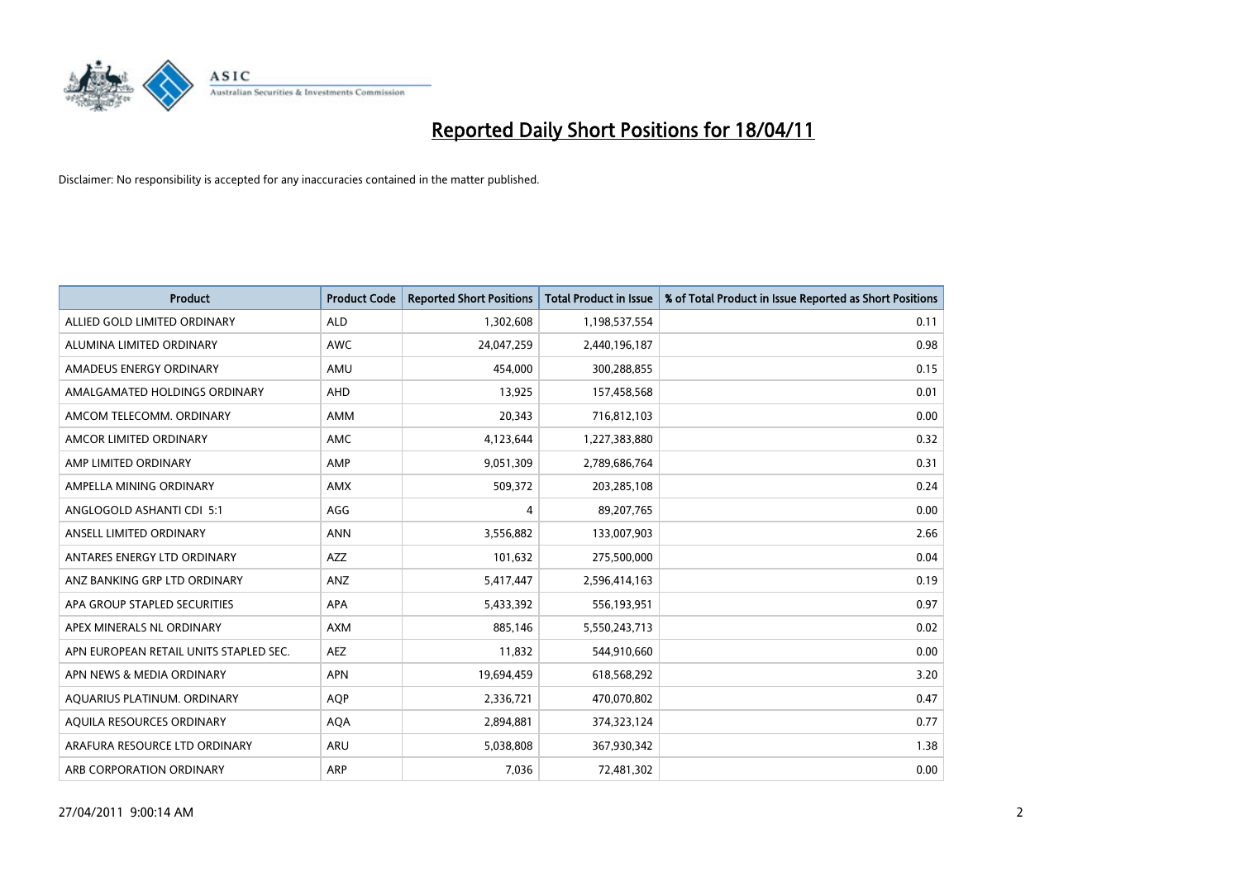

| <b>Product</b>                         | <b>Product Code</b> | <b>Reported Short Positions</b> | <b>Total Product in Issue</b> | % of Total Product in Issue Reported as Short Positions |
|----------------------------------------|---------------------|---------------------------------|-------------------------------|---------------------------------------------------------|
| ALLIED GOLD LIMITED ORDINARY           | <b>ALD</b>          | 1,302,608                       | 1,198,537,554                 | 0.11                                                    |
| ALUMINA LIMITED ORDINARY               | <b>AWC</b>          | 24,047,259                      | 2,440,196,187                 | 0.98                                                    |
| AMADEUS ENERGY ORDINARY                | AMU                 | 454,000                         | 300,288,855                   | 0.15                                                    |
| AMALGAMATED HOLDINGS ORDINARY          | <b>AHD</b>          | 13,925                          | 157,458,568                   | 0.01                                                    |
| AMCOM TELECOMM, ORDINARY               | <b>AMM</b>          | 20,343                          | 716,812,103                   | 0.00                                                    |
| AMCOR LIMITED ORDINARY                 | <b>AMC</b>          | 4,123,644                       | 1,227,383,880                 | 0.32                                                    |
| AMP LIMITED ORDINARY                   | AMP                 | 9,051,309                       | 2,789,686,764                 | 0.31                                                    |
| AMPELLA MINING ORDINARY                | <b>AMX</b>          | 509,372                         | 203,285,108                   | 0.24                                                    |
| ANGLOGOLD ASHANTI CDI 5:1              | AGG                 | 4                               | 89,207,765                    | 0.00                                                    |
| ANSELL LIMITED ORDINARY                | <b>ANN</b>          | 3,556,882                       | 133,007,903                   | 2.66                                                    |
| ANTARES ENERGY LTD ORDINARY            | <b>AZZ</b>          | 101,632                         | 275,500,000                   | 0.04                                                    |
| ANZ BANKING GRP LTD ORDINARY           | ANZ                 | 5,417,447                       | 2,596,414,163                 | 0.19                                                    |
| APA GROUP STAPLED SECURITIES           | <b>APA</b>          | 5,433,392                       | 556,193,951                   | 0.97                                                    |
| APEX MINERALS NL ORDINARY              | <b>AXM</b>          | 885.146                         | 5,550,243,713                 | 0.02                                                    |
| APN EUROPEAN RETAIL UNITS STAPLED SEC. | <b>AEZ</b>          | 11,832                          | 544,910,660                   | 0.00                                                    |
| APN NEWS & MEDIA ORDINARY              | <b>APN</b>          | 19,694,459                      | 618,568,292                   | 3.20                                                    |
| AQUARIUS PLATINUM. ORDINARY            | <b>AOP</b>          | 2,336,721                       | 470,070,802                   | 0.47                                                    |
| AQUILA RESOURCES ORDINARY              | <b>AQA</b>          | 2,894,881                       | 374,323,124                   | 0.77                                                    |
| ARAFURA RESOURCE LTD ORDINARY          | ARU                 | 5,038,808                       | 367,930,342                   | 1.38                                                    |
| ARB CORPORATION ORDINARY               | ARP                 | 7,036                           | 72,481,302                    | 0.00                                                    |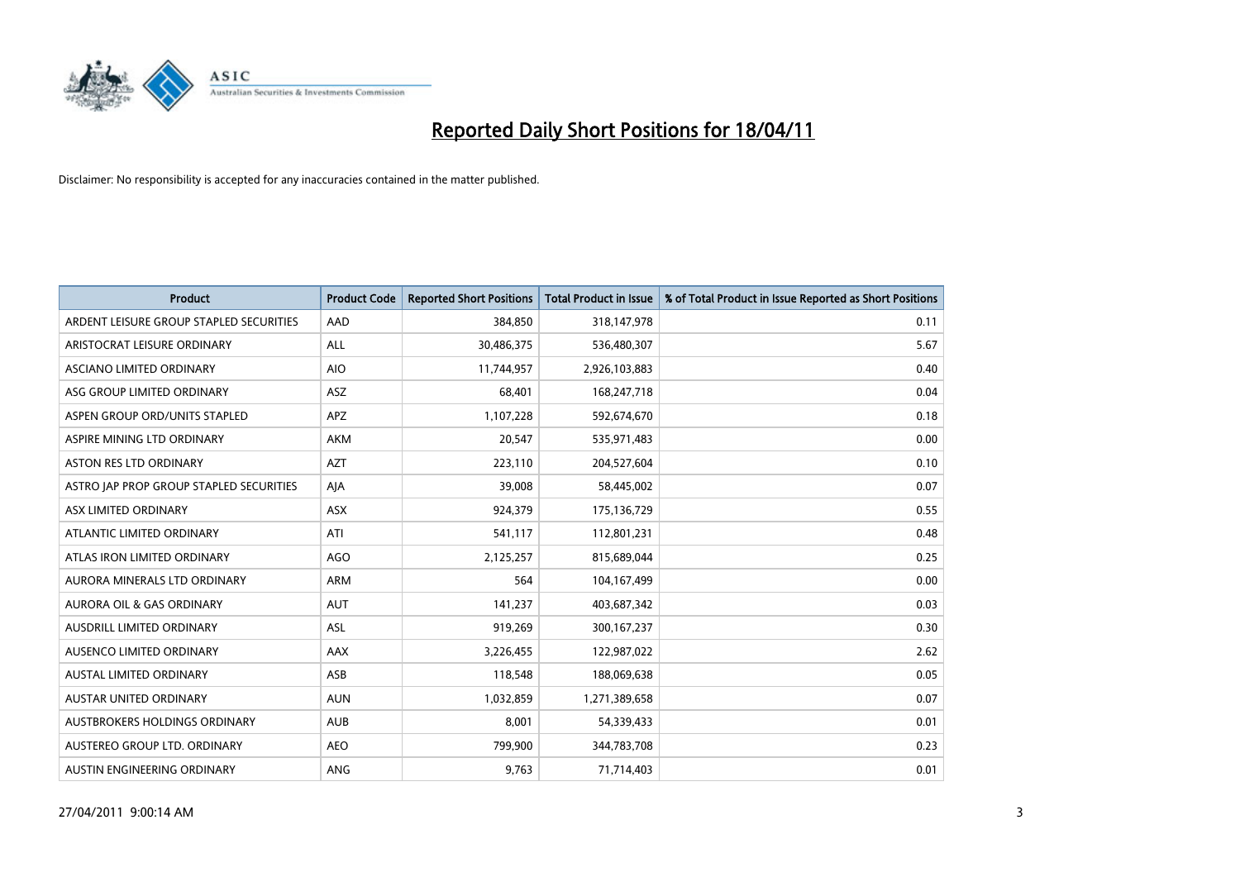

| <b>Product</b>                          | <b>Product Code</b> | <b>Reported Short Positions</b> | <b>Total Product in Issue</b> | % of Total Product in Issue Reported as Short Positions |
|-----------------------------------------|---------------------|---------------------------------|-------------------------------|---------------------------------------------------------|
| ARDENT LEISURE GROUP STAPLED SECURITIES | AAD                 | 384,850                         | 318,147,978                   | 0.11                                                    |
| ARISTOCRAT LEISURE ORDINARY             | ALL                 | 30,486,375                      | 536,480,307                   | 5.67                                                    |
| <b>ASCIANO LIMITED ORDINARY</b>         | <b>AIO</b>          | 11,744,957                      | 2,926,103,883                 | 0.40                                                    |
| ASG GROUP LIMITED ORDINARY              | ASZ                 | 68,401                          | 168,247,718                   | 0.04                                                    |
| ASPEN GROUP ORD/UNITS STAPLED           | <b>APZ</b>          | 1,107,228                       | 592,674,670                   | 0.18                                                    |
| ASPIRE MINING LTD ORDINARY              | <b>AKM</b>          | 20,547                          | 535,971,483                   | 0.00                                                    |
| <b>ASTON RES LTD ORDINARY</b>           | <b>AZT</b>          | 223,110                         | 204,527,604                   | 0.10                                                    |
| ASTRO JAP PROP GROUP STAPLED SECURITIES | AJA                 | 39,008                          | 58,445,002                    | 0.07                                                    |
| ASX LIMITED ORDINARY                    | ASX                 | 924,379                         | 175,136,729                   | 0.55                                                    |
| ATLANTIC LIMITED ORDINARY               | ATI                 | 541,117                         | 112,801,231                   | 0.48                                                    |
| ATLAS IRON LIMITED ORDINARY             | AGO                 | 2,125,257                       | 815,689,044                   | 0.25                                                    |
| AURORA MINERALS LTD ORDINARY            | <b>ARM</b>          | 564                             | 104,167,499                   | 0.00                                                    |
| <b>AURORA OIL &amp; GAS ORDINARY</b>    | <b>AUT</b>          | 141,237                         | 403,687,342                   | 0.03                                                    |
| AUSDRILL LIMITED ORDINARY               | <b>ASL</b>          | 919,269                         | 300, 167, 237                 | 0.30                                                    |
| AUSENCO LIMITED ORDINARY                | AAX                 | 3,226,455                       | 122,987,022                   | 2.62                                                    |
| <b>AUSTAL LIMITED ORDINARY</b>          | ASB                 | 118,548                         | 188,069,638                   | 0.05                                                    |
| <b>AUSTAR UNITED ORDINARY</b>           | <b>AUN</b>          | 1,032,859                       | 1,271,389,658                 | 0.07                                                    |
| AUSTBROKERS HOLDINGS ORDINARY           | <b>AUB</b>          | 8,001                           | 54,339,433                    | 0.01                                                    |
| AUSTEREO GROUP LTD. ORDINARY            | <b>AEO</b>          | 799,900                         | 344,783,708                   | 0.23                                                    |
| AUSTIN ENGINEERING ORDINARY             | ANG                 | 9,763                           | 71,714,403                    | 0.01                                                    |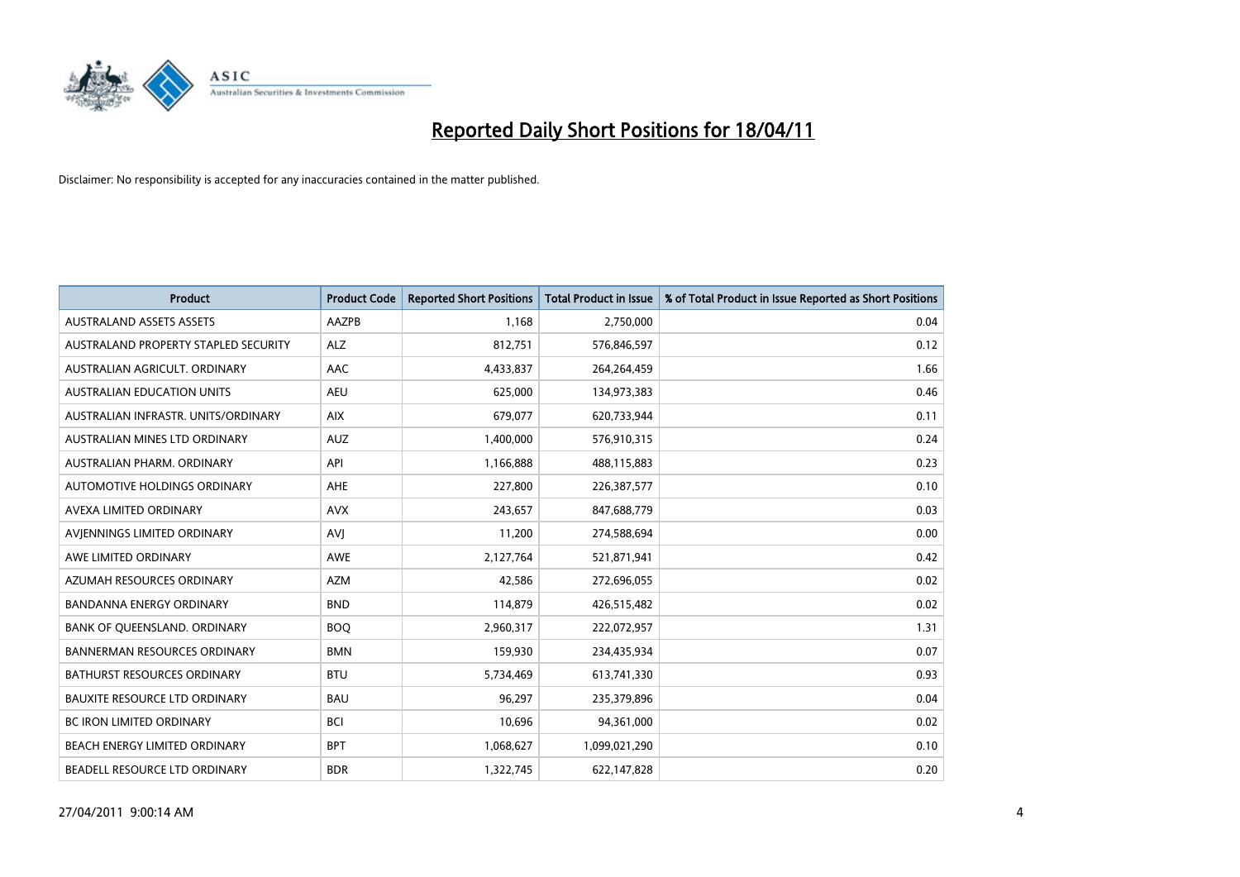

| <b>Product</b>                       | <b>Product Code</b> | <b>Reported Short Positions</b> | <b>Total Product in Issue</b> | % of Total Product in Issue Reported as Short Positions |
|--------------------------------------|---------------------|---------------------------------|-------------------------------|---------------------------------------------------------|
| <b>AUSTRALAND ASSETS ASSETS</b>      | AAZPB               | 1.168                           | 2,750,000                     | 0.04                                                    |
| AUSTRALAND PROPERTY STAPLED SECURITY | <b>ALZ</b>          | 812,751                         | 576,846,597                   | 0.12                                                    |
| AUSTRALIAN AGRICULT, ORDINARY        | AAC                 | 4,433,837                       | 264,264,459                   | 1.66                                                    |
| AUSTRALIAN EDUCATION UNITS           | <b>AEU</b>          | 625,000                         | 134,973,383                   | 0.46                                                    |
| AUSTRALIAN INFRASTR, UNITS/ORDINARY  | <b>AIX</b>          | 679,077                         | 620,733,944                   | 0.11                                                    |
| AUSTRALIAN MINES LTD ORDINARY        | <b>AUZ</b>          | 1,400,000                       | 576,910,315                   | 0.24                                                    |
| AUSTRALIAN PHARM, ORDINARY           | API                 | 1,166,888                       | 488,115,883                   | 0.23                                                    |
| AUTOMOTIVE HOLDINGS ORDINARY         | AHE                 | 227,800                         | 226,387,577                   | 0.10                                                    |
| AVEXA LIMITED ORDINARY               | <b>AVX</b>          | 243.657                         | 847,688,779                   | 0.03                                                    |
| AVIENNINGS LIMITED ORDINARY          | <b>AVI</b>          | 11,200                          | 274,588,694                   | 0.00                                                    |
| AWE LIMITED ORDINARY                 | <b>AWE</b>          | 2,127,764                       | 521,871,941                   | 0.42                                                    |
| AZUMAH RESOURCES ORDINARY            | <b>AZM</b>          | 42,586                          | 272,696,055                   | 0.02                                                    |
| <b>BANDANNA ENERGY ORDINARY</b>      | <b>BND</b>          | 114,879                         | 426,515,482                   | 0.02                                                    |
| BANK OF QUEENSLAND. ORDINARY         | <b>BOO</b>          | 2,960,317                       | 222,072,957                   | 1.31                                                    |
| <b>BANNERMAN RESOURCES ORDINARY</b>  | <b>BMN</b>          | 159,930                         | 234,435,934                   | 0.07                                                    |
| BATHURST RESOURCES ORDINARY          | <b>BTU</b>          | 5,734,469                       | 613,741,330                   | 0.93                                                    |
| BAUXITE RESOURCE LTD ORDINARY        | <b>BAU</b>          | 96,297                          | 235,379,896                   | 0.04                                                    |
| <b>BC IRON LIMITED ORDINARY</b>      | <b>BCI</b>          | 10,696                          | 94,361,000                    | 0.02                                                    |
| BEACH ENERGY LIMITED ORDINARY        | <b>BPT</b>          | 1,068,627                       | 1,099,021,290                 | 0.10                                                    |
| BEADELL RESOURCE LTD ORDINARY        | <b>BDR</b>          | 1,322,745                       | 622,147,828                   | 0.20                                                    |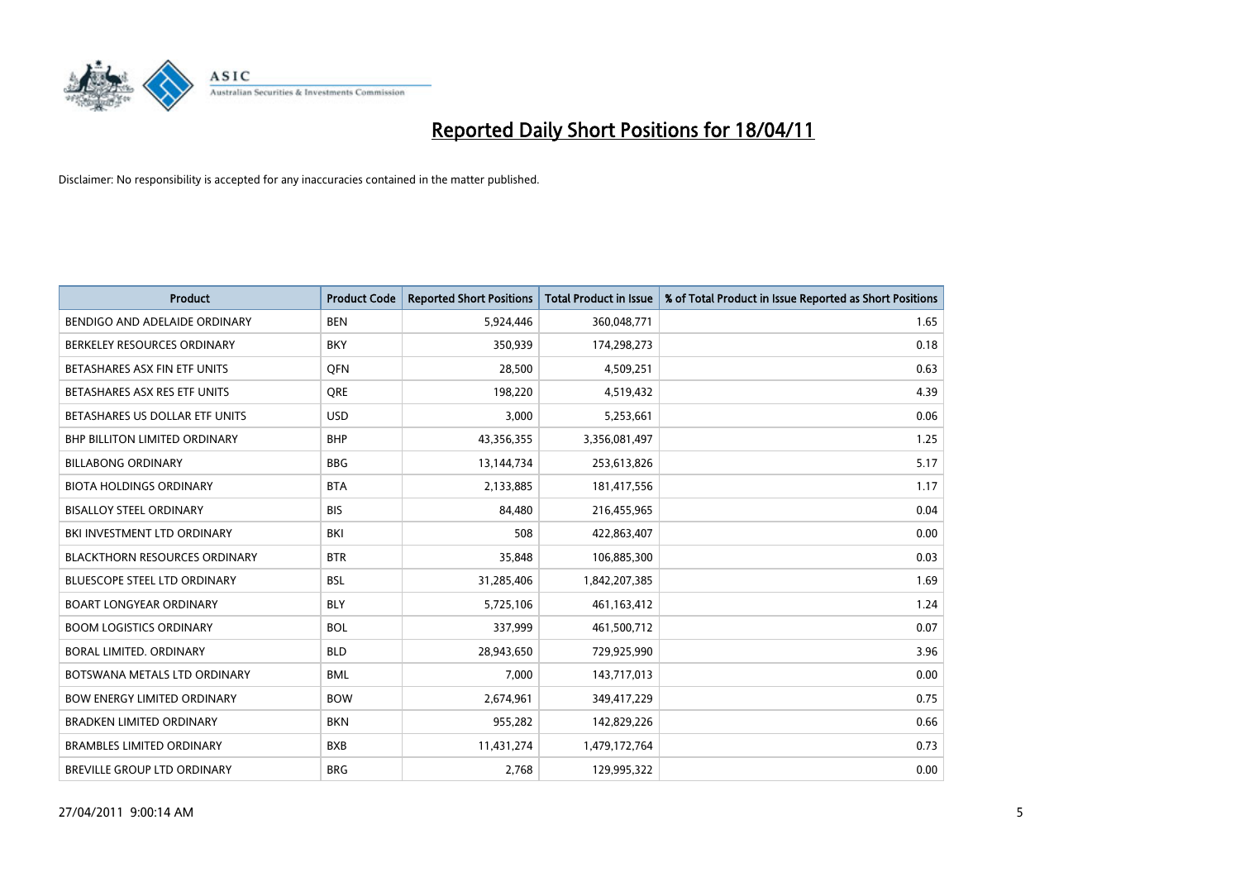

| <b>Product</b>                       | <b>Product Code</b> | <b>Reported Short Positions</b> | <b>Total Product in Issue</b> | % of Total Product in Issue Reported as Short Positions |
|--------------------------------------|---------------------|---------------------------------|-------------------------------|---------------------------------------------------------|
| BENDIGO AND ADELAIDE ORDINARY        | <b>BEN</b>          | 5,924,446                       | 360,048,771                   | 1.65                                                    |
| BERKELEY RESOURCES ORDINARY          | <b>BKY</b>          | 350,939                         | 174,298,273                   | 0.18                                                    |
| BETASHARES ASX FIN ETF UNITS         | <b>OFN</b>          | 28,500                          | 4,509,251                     | 0.63                                                    |
| BETASHARES ASX RES ETF UNITS         | <b>ORE</b>          | 198,220                         | 4,519,432                     | 4.39                                                    |
| BETASHARES US DOLLAR ETF UNITS       | <b>USD</b>          | 3,000                           | 5,253,661                     | 0.06                                                    |
| <b>BHP BILLITON LIMITED ORDINARY</b> | <b>BHP</b>          | 43,356,355                      | 3,356,081,497                 | 1.25                                                    |
| <b>BILLABONG ORDINARY</b>            | <b>BBG</b>          | 13,144,734                      | 253,613,826                   | 5.17                                                    |
| <b>BIOTA HOLDINGS ORDINARY</b>       | <b>BTA</b>          | 2,133,885                       | 181,417,556                   | 1.17                                                    |
| <b>BISALLOY STEEL ORDINARY</b>       | <b>BIS</b>          | 84,480                          | 216,455,965                   | 0.04                                                    |
| BKI INVESTMENT LTD ORDINARY          | <b>BKI</b>          | 508                             | 422,863,407                   | 0.00                                                    |
| <b>BLACKTHORN RESOURCES ORDINARY</b> | <b>BTR</b>          | 35,848                          | 106,885,300                   | 0.03                                                    |
| <b>BLUESCOPE STEEL LTD ORDINARY</b>  | <b>BSL</b>          | 31,285,406                      | 1,842,207,385                 | 1.69                                                    |
| <b>BOART LONGYEAR ORDINARY</b>       | <b>BLY</b>          | 5,725,106                       | 461,163,412                   | 1.24                                                    |
| <b>BOOM LOGISTICS ORDINARY</b>       | <b>BOL</b>          | 337,999                         | 461,500,712                   | 0.07                                                    |
| <b>BORAL LIMITED, ORDINARY</b>       | <b>BLD</b>          | 28,943,650                      | 729,925,990                   | 3.96                                                    |
| BOTSWANA METALS LTD ORDINARY         | <b>BML</b>          | 7,000                           | 143,717,013                   | 0.00                                                    |
| <b>BOW ENERGY LIMITED ORDINARY</b>   | <b>BOW</b>          | 2,674,961                       | 349,417,229                   | 0.75                                                    |
| BRADKEN LIMITED ORDINARY             | <b>BKN</b>          | 955,282                         | 142,829,226                   | 0.66                                                    |
| <b>BRAMBLES LIMITED ORDINARY</b>     | <b>BXB</b>          | 11,431,274                      | 1,479,172,764                 | 0.73                                                    |
| BREVILLE GROUP LTD ORDINARY          | <b>BRG</b>          | 2,768                           | 129,995,322                   | 0.00                                                    |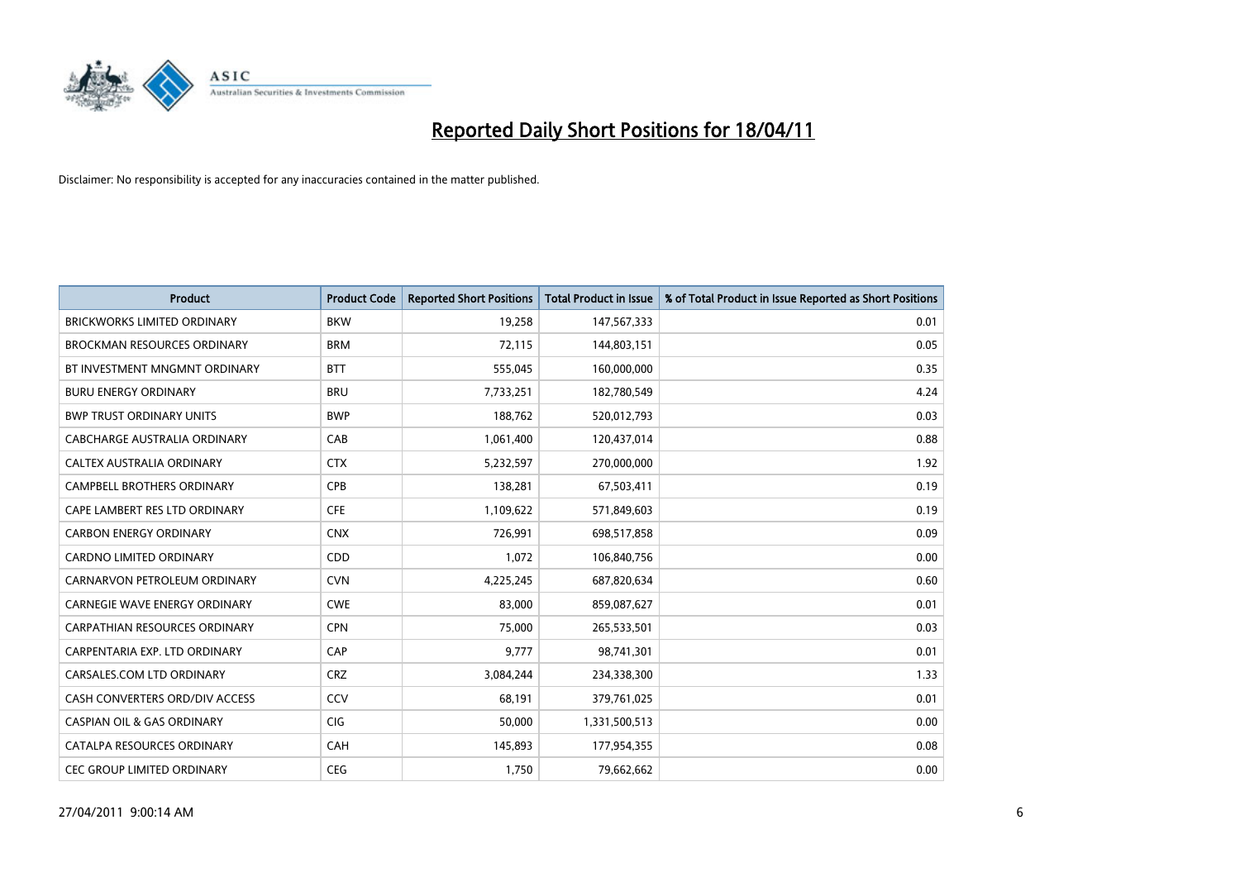

| <b>Product</b>                        | <b>Product Code</b> | <b>Reported Short Positions</b> | <b>Total Product in Issue</b> | % of Total Product in Issue Reported as Short Positions |
|---------------------------------------|---------------------|---------------------------------|-------------------------------|---------------------------------------------------------|
| <b>BRICKWORKS LIMITED ORDINARY</b>    | <b>BKW</b>          | 19,258                          | 147,567,333                   | 0.01                                                    |
| <b>BROCKMAN RESOURCES ORDINARY</b>    | <b>BRM</b>          | 72,115                          | 144,803,151                   | 0.05                                                    |
| BT INVESTMENT MNGMNT ORDINARY         | <b>BTT</b>          | 555,045                         | 160,000,000                   | 0.35                                                    |
| <b>BURU ENERGY ORDINARY</b>           | <b>BRU</b>          | 7,733,251                       | 182,780,549                   | 4.24                                                    |
| <b>BWP TRUST ORDINARY UNITS</b>       | <b>BWP</b>          | 188,762                         | 520,012,793                   | 0.03                                                    |
| CABCHARGE AUSTRALIA ORDINARY          | CAB                 | 1,061,400                       | 120,437,014                   | 0.88                                                    |
| CALTEX AUSTRALIA ORDINARY             | <b>CTX</b>          | 5,232,597                       | 270,000,000                   | 1.92                                                    |
| CAMPBELL BROTHERS ORDINARY            | <b>CPB</b>          | 138,281                         | 67,503,411                    | 0.19                                                    |
| CAPE LAMBERT RES LTD ORDINARY         | <b>CFE</b>          | 1,109,622                       | 571,849,603                   | 0.19                                                    |
| <b>CARBON ENERGY ORDINARY</b>         | <b>CNX</b>          | 726,991                         | 698,517,858                   | 0.09                                                    |
| CARDNO LIMITED ORDINARY               | CDD                 | 1,072                           | 106,840,756                   | 0.00                                                    |
| CARNARVON PETROLEUM ORDINARY          | <b>CVN</b>          | 4,225,245                       | 687,820,634                   | 0.60                                                    |
| CARNEGIE WAVE ENERGY ORDINARY         | <b>CWE</b>          | 83,000                          | 859,087,627                   | 0.01                                                    |
| <b>CARPATHIAN RESOURCES ORDINARY</b>  | <b>CPN</b>          | 75,000                          | 265,533,501                   | 0.03                                                    |
| CARPENTARIA EXP. LTD ORDINARY         | CAP                 | 9,777                           | 98,741,301                    | 0.01                                                    |
| CARSALES.COM LTD ORDINARY             | <b>CRZ</b>          | 3,084,244                       | 234,338,300                   | 1.33                                                    |
| CASH CONVERTERS ORD/DIV ACCESS        | CCV                 | 68,191                          | 379,761,025                   | 0.01                                                    |
| <b>CASPIAN OIL &amp; GAS ORDINARY</b> | <b>CIG</b>          | 50,000                          | 1,331,500,513                 | 0.00                                                    |
| CATALPA RESOURCES ORDINARY            | CAH                 | 145,893                         | 177,954,355                   | 0.08                                                    |
| CEC GROUP LIMITED ORDINARY            | <b>CEG</b>          | 1,750                           | 79,662,662                    | 0.00                                                    |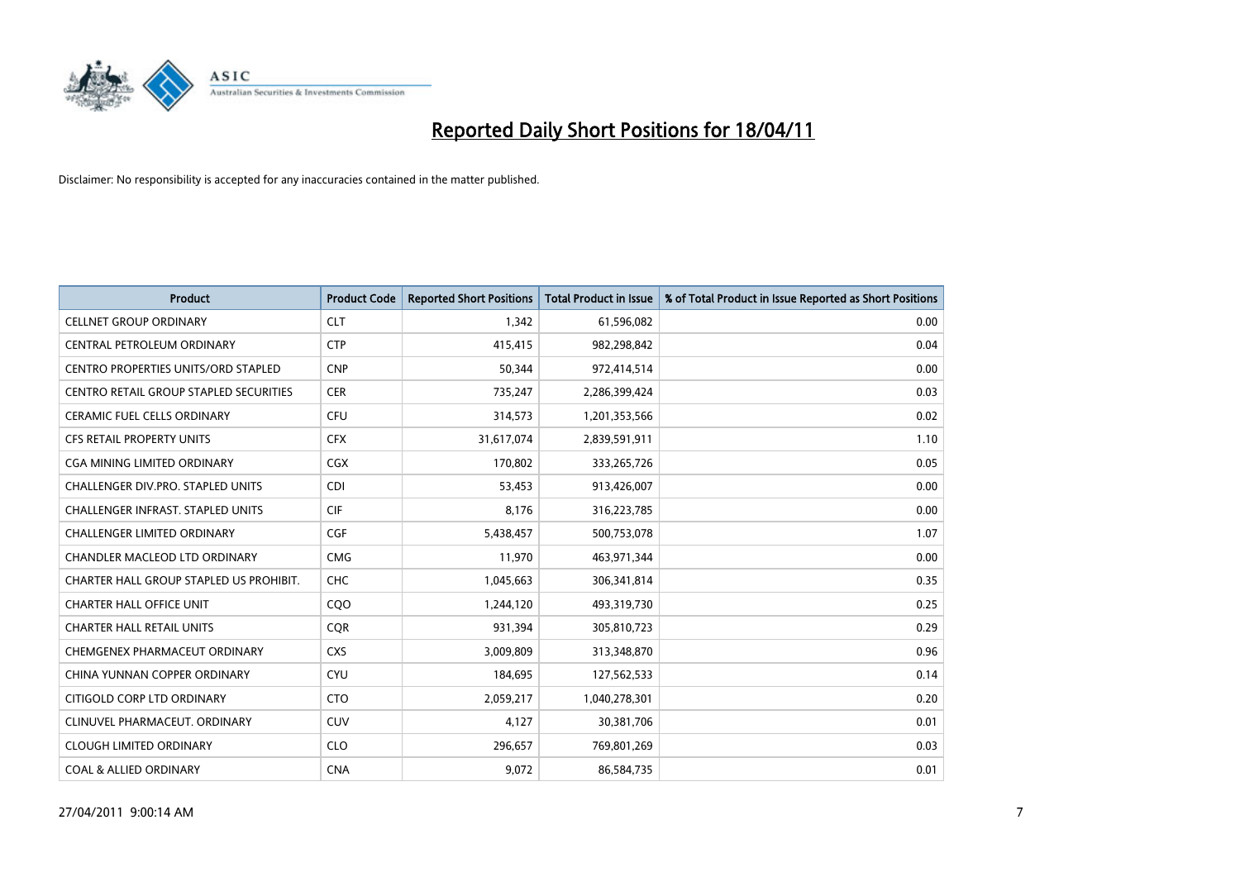

| <b>Product</b>                             | <b>Product Code</b> | <b>Reported Short Positions</b> | <b>Total Product in Issue</b> | % of Total Product in Issue Reported as Short Positions |
|--------------------------------------------|---------------------|---------------------------------|-------------------------------|---------------------------------------------------------|
| <b>CELLNET GROUP ORDINARY</b>              | <b>CLT</b>          | 1.342                           | 61,596,082                    | 0.00                                                    |
| CENTRAL PETROLEUM ORDINARY                 | <b>CTP</b>          | 415,415                         | 982,298,842                   | 0.04                                                    |
| <b>CENTRO PROPERTIES UNITS/ORD STAPLED</b> | <b>CNP</b>          | 50,344                          | 972,414,514                   | 0.00                                                    |
| CENTRO RETAIL GROUP STAPLED SECURITIES     | <b>CER</b>          | 735,247                         | 2,286,399,424                 | 0.03                                                    |
| <b>CERAMIC FUEL CELLS ORDINARY</b>         | <b>CFU</b>          | 314,573                         | 1,201,353,566                 | 0.02                                                    |
| <b>CFS RETAIL PROPERTY UNITS</b>           | <b>CFX</b>          | 31,617,074                      | 2,839,591,911                 | 1.10                                                    |
| <b>CGA MINING LIMITED ORDINARY</b>         | <b>CGX</b>          | 170,802                         | 333,265,726                   | 0.05                                                    |
| CHALLENGER DIV.PRO. STAPLED UNITS          | <b>CDI</b>          | 53.453                          | 913,426,007                   | 0.00                                                    |
| <b>CHALLENGER INFRAST, STAPLED UNITS</b>   | <b>CIF</b>          | 8,176                           | 316,223,785                   | 0.00                                                    |
| <b>CHALLENGER LIMITED ORDINARY</b>         | CGF                 | 5,438,457                       | 500,753,078                   | 1.07                                                    |
| CHANDLER MACLEOD LTD ORDINARY              | <b>CMG</b>          | 11,970                          | 463,971,344                   | 0.00                                                    |
| CHARTER HALL GROUP STAPLED US PROHIBIT.    | <b>CHC</b>          | 1,045,663                       | 306,341,814                   | 0.35                                                    |
| <b>CHARTER HALL OFFICE UNIT</b>            | COO                 | 1,244,120                       | 493,319,730                   | 0.25                                                    |
| <b>CHARTER HALL RETAIL UNITS</b>           | <b>COR</b>          | 931,394                         | 305,810,723                   | 0.29                                                    |
| CHEMGENEX PHARMACEUT ORDINARY              | <b>CXS</b>          | 3,009,809                       | 313,348,870                   | 0.96                                                    |
| CHINA YUNNAN COPPER ORDINARY               | <b>CYU</b>          | 184,695                         | 127,562,533                   | 0.14                                                    |
| CITIGOLD CORP LTD ORDINARY                 | <b>CTO</b>          | 2,059,217                       | 1,040,278,301                 | 0.20                                                    |
| CLINUVEL PHARMACEUT. ORDINARY              | <b>CUV</b>          | 4,127                           | 30,381,706                    | 0.01                                                    |
| <b>CLOUGH LIMITED ORDINARY</b>             | <b>CLO</b>          | 296,657                         | 769,801,269                   | 0.03                                                    |
| <b>COAL &amp; ALLIED ORDINARY</b>          | <b>CNA</b>          | 9,072                           | 86,584,735                    | 0.01                                                    |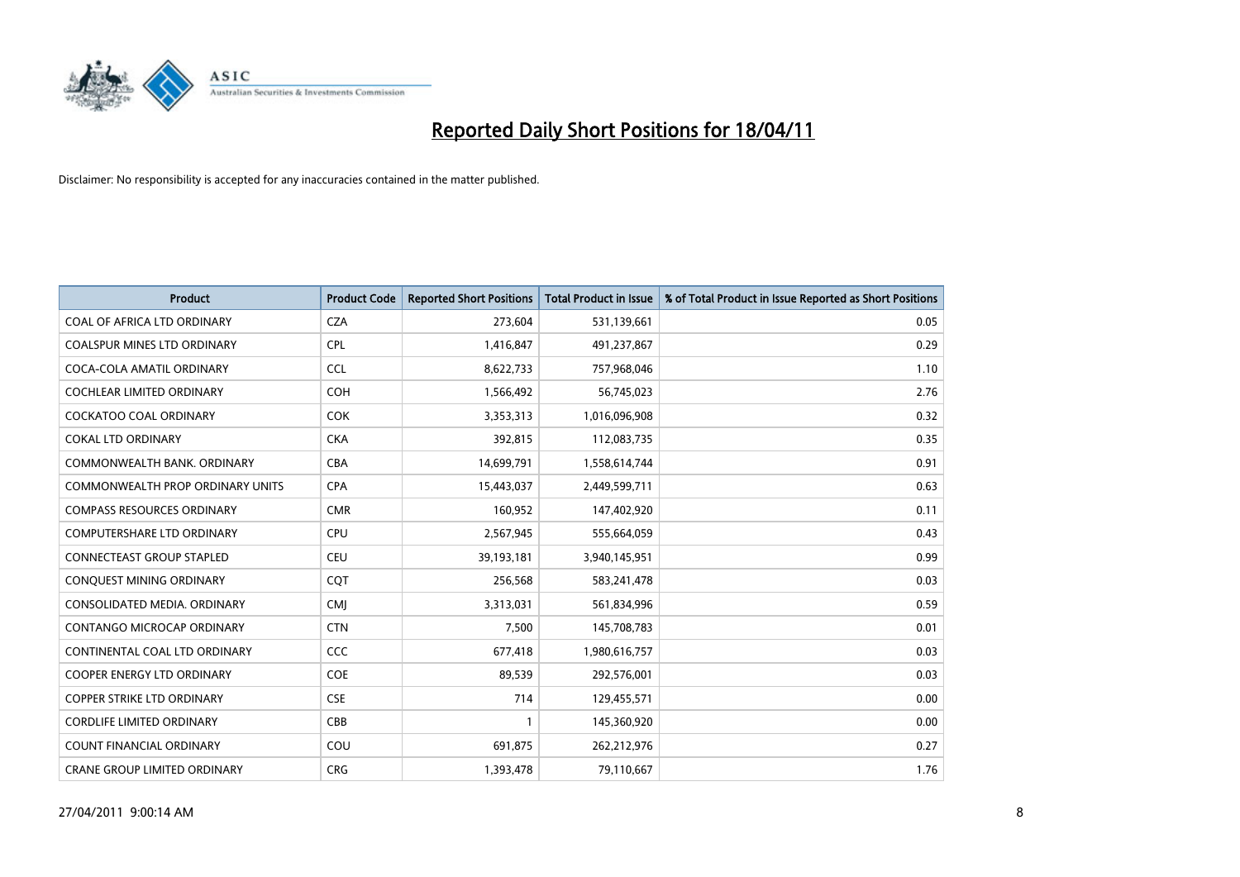

| <b>Product</b>                    | <b>Product Code</b> | <b>Reported Short Positions</b> | <b>Total Product in Issue</b> | % of Total Product in Issue Reported as Short Positions |
|-----------------------------------|---------------------|---------------------------------|-------------------------------|---------------------------------------------------------|
| COAL OF AFRICA LTD ORDINARY       | <b>CZA</b>          | 273,604                         | 531,139,661                   | 0.05                                                    |
| COALSPUR MINES LTD ORDINARY       | <b>CPL</b>          | 1,416,847                       | 491,237,867                   | 0.29                                                    |
| COCA-COLA AMATIL ORDINARY         | <b>CCL</b>          | 8,622,733                       | 757,968,046                   | 1.10                                                    |
| COCHLEAR LIMITED ORDINARY         | <b>COH</b>          | 1,566,492                       | 56,745,023                    | 2.76                                                    |
| <b>COCKATOO COAL ORDINARY</b>     | <b>COK</b>          | 3,353,313                       | 1,016,096,908                 | 0.32                                                    |
| <b>COKAL LTD ORDINARY</b>         | <b>CKA</b>          | 392,815                         | 112,083,735                   | 0.35                                                    |
| COMMONWEALTH BANK, ORDINARY       | <b>CBA</b>          | 14,699,791                      | 1,558,614,744                 | 0.91                                                    |
| COMMONWEALTH PROP ORDINARY UNITS  | <b>CPA</b>          | 15,443,037                      | 2,449,599,711                 | 0.63                                                    |
| <b>COMPASS RESOURCES ORDINARY</b> | <b>CMR</b>          | 160,952                         | 147,402,920                   | 0.11                                                    |
| <b>COMPUTERSHARE LTD ORDINARY</b> | <b>CPU</b>          | 2,567,945                       | 555,664,059                   | 0.43                                                    |
| CONNECTEAST GROUP STAPLED         | <b>CEU</b>          | 39,193,181                      | 3,940,145,951                 | 0.99                                                    |
| CONQUEST MINING ORDINARY          | CQT                 | 256,568                         | 583,241,478                   | 0.03                                                    |
| CONSOLIDATED MEDIA. ORDINARY      | <b>CMI</b>          | 3,313,031                       | 561,834,996                   | 0.59                                                    |
| <b>CONTANGO MICROCAP ORDINARY</b> | <b>CTN</b>          | 7,500                           | 145,708,783                   | 0.01                                                    |
| CONTINENTAL COAL LTD ORDINARY     | <b>CCC</b>          | 677,418                         | 1,980,616,757                 | 0.03                                                    |
| COOPER ENERGY LTD ORDINARY        | <b>COE</b>          | 89,539                          | 292,576,001                   | 0.03                                                    |
| COPPER STRIKE LTD ORDINARY        | <b>CSE</b>          | 714                             | 129,455,571                   | 0.00                                                    |
| <b>CORDLIFE LIMITED ORDINARY</b>  | CBB                 |                                 | 145,360,920                   | 0.00                                                    |
| <b>COUNT FINANCIAL ORDINARY</b>   | COU                 | 691,875                         | 262,212,976                   | 0.27                                                    |
| CRANE GROUP LIMITED ORDINARY      | <b>CRG</b>          | 1,393,478                       | 79,110,667                    | 1.76                                                    |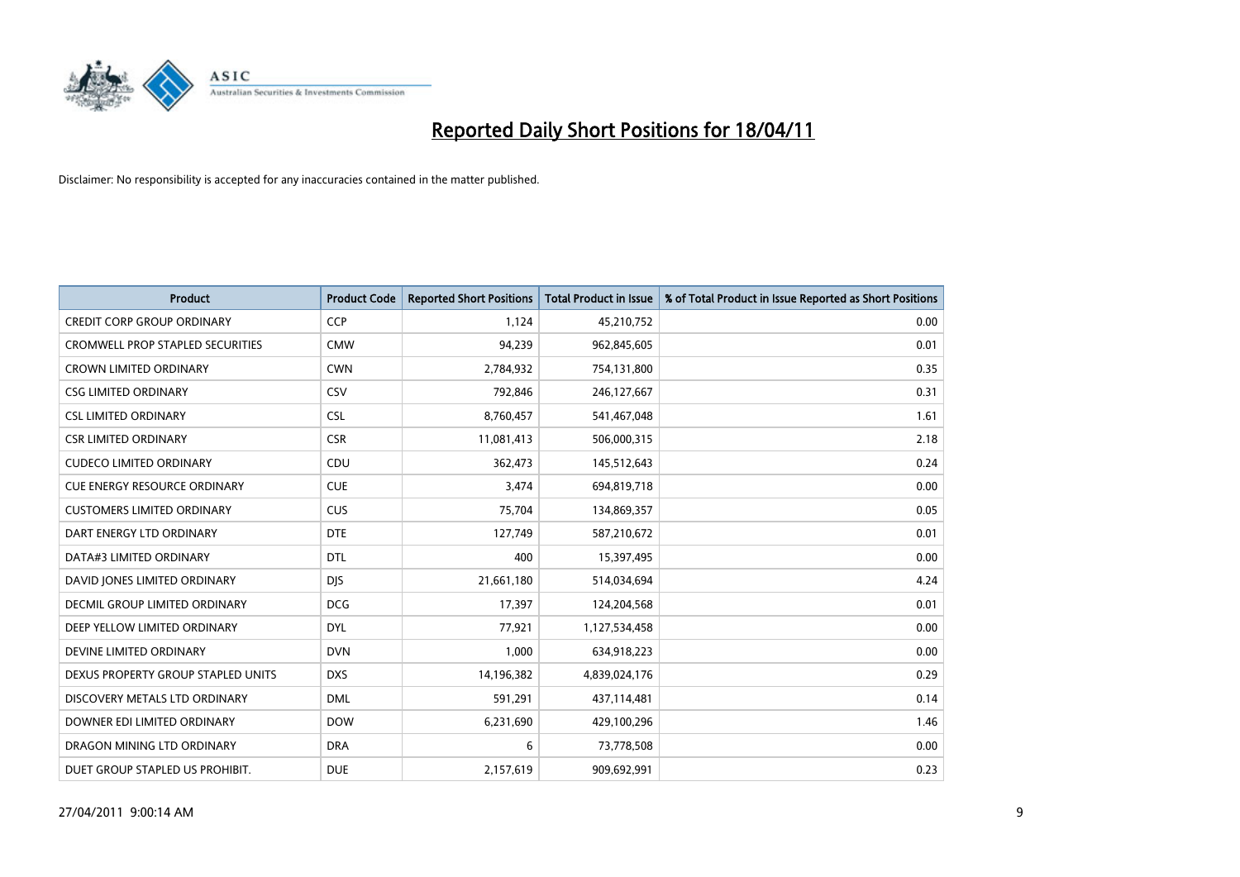

| <b>Product</b>                          | <b>Product Code</b> | <b>Reported Short Positions</b> | <b>Total Product in Issue</b> | % of Total Product in Issue Reported as Short Positions |
|-----------------------------------------|---------------------|---------------------------------|-------------------------------|---------------------------------------------------------|
| <b>CREDIT CORP GROUP ORDINARY</b>       | <b>CCP</b>          | 1,124                           | 45,210,752                    | 0.00                                                    |
| <b>CROMWELL PROP STAPLED SECURITIES</b> | <b>CMW</b>          | 94,239                          | 962,845,605                   | 0.01                                                    |
| <b>CROWN LIMITED ORDINARY</b>           | <b>CWN</b>          | 2,784,932                       | 754,131,800                   | 0.35                                                    |
| <b>CSG LIMITED ORDINARY</b>             | CSV                 | 792,846                         | 246,127,667                   | 0.31                                                    |
| <b>CSL LIMITED ORDINARY</b>             | <b>CSL</b>          | 8,760,457                       | 541,467,048                   | 1.61                                                    |
| <b>CSR LIMITED ORDINARY</b>             | <b>CSR</b>          | 11,081,413                      | 506,000,315                   | 2.18                                                    |
| <b>CUDECO LIMITED ORDINARY</b>          | CDU                 | 362,473                         | 145,512,643                   | 0.24                                                    |
| <b>CUE ENERGY RESOURCE ORDINARY</b>     | <b>CUE</b>          | 3,474                           | 694,819,718                   | 0.00                                                    |
| <b>CUSTOMERS LIMITED ORDINARY</b>       | CUS                 | 75,704                          | 134,869,357                   | 0.05                                                    |
| DART ENERGY LTD ORDINARY                | <b>DTE</b>          | 127,749                         | 587,210,672                   | 0.01                                                    |
| DATA#3 LIMITED ORDINARY                 | <b>DTL</b>          | 400                             | 15,397,495                    | 0.00                                                    |
| DAVID JONES LIMITED ORDINARY            | <b>DJS</b>          | 21,661,180                      | 514,034,694                   | 4.24                                                    |
| <b>DECMIL GROUP LIMITED ORDINARY</b>    | <b>DCG</b>          | 17,397                          | 124,204,568                   | 0.01                                                    |
| DEEP YELLOW LIMITED ORDINARY            | <b>DYL</b>          | 77,921                          | 1,127,534,458                 | 0.00                                                    |
| DEVINE LIMITED ORDINARY                 | <b>DVN</b>          | 1,000                           | 634,918,223                   | 0.00                                                    |
| DEXUS PROPERTY GROUP STAPLED UNITS      | <b>DXS</b>          | 14,196,382                      | 4,839,024,176                 | 0.29                                                    |
| DISCOVERY METALS LTD ORDINARY           | <b>DML</b>          | 591,291                         | 437,114,481                   | 0.14                                                    |
| DOWNER EDI LIMITED ORDINARY             | <b>DOW</b>          | 6,231,690                       | 429,100,296                   | 1.46                                                    |
| DRAGON MINING LTD ORDINARY              | <b>DRA</b>          | 6                               | 73,778,508                    | 0.00                                                    |
| DUET GROUP STAPLED US PROHIBIT.         | <b>DUE</b>          | 2,157,619                       | 909,692,991                   | 0.23                                                    |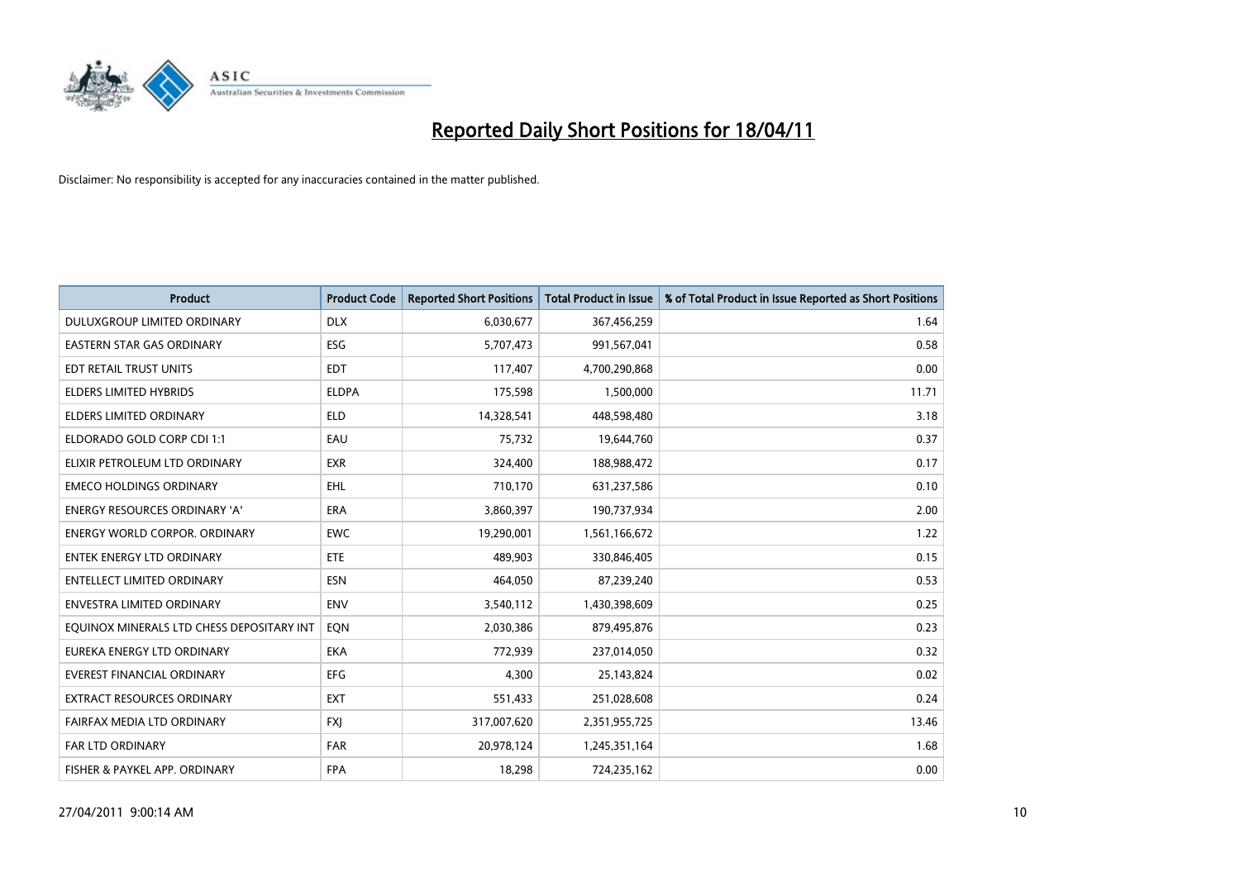

| <b>Product</b>                            | <b>Product Code</b> | <b>Reported Short Positions</b> | Total Product in Issue | % of Total Product in Issue Reported as Short Positions |
|-------------------------------------------|---------------------|---------------------------------|------------------------|---------------------------------------------------------|
| DULUXGROUP LIMITED ORDINARY               | <b>DLX</b>          | 6,030,677                       | 367,456,259            | 1.64                                                    |
| <b>EASTERN STAR GAS ORDINARY</b>          | <b>ESG</b>          | 5,707,473                       | 991,567,041            | 0.58                                                    |
| EDT RETAIL TRUST UNITS                    | <b>EDT</b>          | 117,407                         | 4,700,290,868          | 0.00                                                    |
| ELDERS LIMITED HYBRIDS                    | <b>ELDPA</b>        | 175,598                         | 1,500,000              | 11.71                                                   |
| <b>ELDERS LIMITED ORDINARY</b>            | <b>ELD</b>          | 14,328,541                      | 448,598,480            | 3.18                                                    |
| ELDORADO GOLD CORP CDI 1:1                | EAU                 | 75,732                          | 19,644,760             | 0.37                                                    |
| ELIXIR PETROLEUM LTD ORDINARY             | <b>EXR</b>          | 324.400                         | 188,988,472            | 0.17                                                    |
| <b>EMECO HOLDINGS ORDINARY</b>            | <b>EHL</b>          | 710,170                         | 631,237,586            | 0.10                                                    |
| ENERGY RESOURCES ORDINARY 'A'             | <b>ERA</b>          | 3,860,397                       | 190,737,934            | 2.00                                                    |
| <b>ENERGY WORLD CORPOR, ORDINARY</b>      | <b>EWC</b>          | 19,290,001                      | 1,561,166,672          | 1.22                                                    |
| <b>ENTEK ENERGY LTD ORDINARY</b>          | <b>ETE</b>          | 489.903                         | 330,846,405            | 0.15                                                    |
| <b>ENTELLECT LIMITED ORDINARY</b>         | <b>ESN</b>          | 464,050                         | 87,239,240             | 0.53                                                    |
| <b>ENVESTRA LIMITED ORDINARY</b>          | <b>ENV</b>          | 3,540,112                       | 1,430,398,609          | 0.25                                                    |
| EQUINOX MINERALS LTD CHESS DEPOSITARY INT | <b>EON</b>          | 2,030,386                       | 879,495,876            | 0.23                                                    |
| EUREKA ENERGY LTD ORDINARY                | <b>EKA</b>          | 772,939                         | 237,014,050            | 0.32                                                    |
| <b>EVEREST FINANCIAL ORDINARY</b>         | <b>EFG</b>          | 4.300                           | 25,143,824             | 0.02                                                    |
| <b>EXTRACT RESOURCES ORDINARY</b>         | <b>EXT</b>          | 551,433                         | 251,028,608            | 0.24                                                    |
| FAIRFAX MEDIA LTD ORDINARY                | <b>FXI</b>          | 317,007,620                     | 2,351,955,725          | 13.46                                                   |
| <b>FAR LTD ORDINARY</b>                   | <b>FAR</b>          | 20,978,124                      | 1,245,351,164          | 1.68                                                    |
| FISHER & PAYKEL APP. ORDINARY             | <b>FPA</b>          | 18,298                          | 724,235,162            | 0.00                                                    |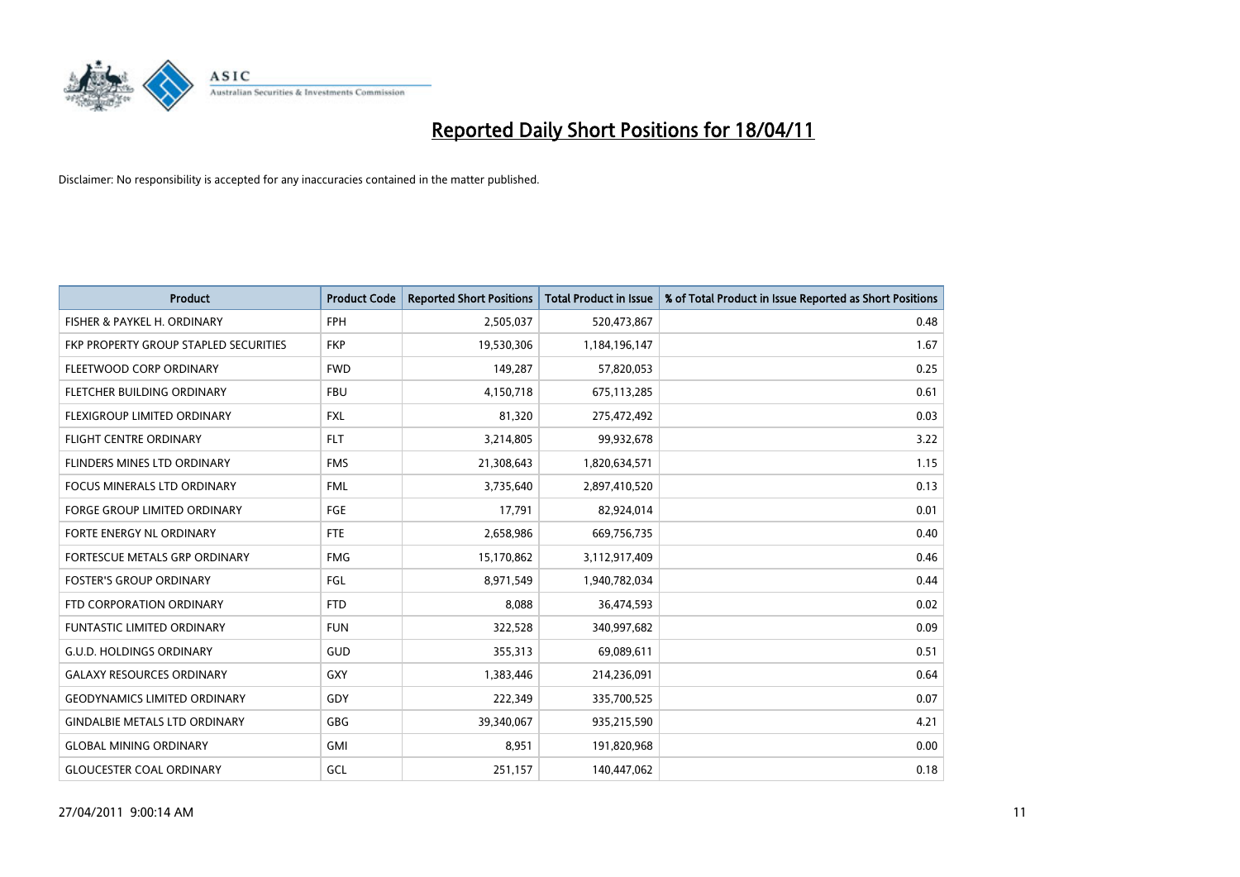

| <b>Product</b>                        | <b>Product Code</b> | <b>Reported Short Positions</b> | <b>Total Product in Issue</b> | % of Total Product in Issue Reported as Short Positions |
|---------------------------------------|---------------------|---------------------------------|-------------------------------|---------------------------------------------------------|
| FISHER & PAYKEL H. ORDINARY           | <b>FPH</b>          | 2,505,037                       | 520,473,867                   | 0.48                                                    |
| FKP PROPERTY GROUP STAPLED SECURITIES | <b>FKP</b>          | 19,530,306                      | 1,184,196,147                 | 1.67                                                    |
| FLEETWOOD CORP ORDINARY               | <b>FWD</b>          | 149,287                         | 57,820,053                    | 0.25                                                    |
| FLETCHER BUILDING ORDINARY            | <b>FBU</b>          | 4,150,718                       | 675,113,285                   | 0.61                                                    |
| FLEXIGROUP LIMITED ORDINARY           | <b>FXL</b>          | 81,320                          | 275,472,492                   | 0.03                                                    |
| <b>FLIGHT CENTRE ORDINARY</b>         | <b>FLT</b>          | 3,214,805                       | 99,932,678                    | 3.22                                                    |
| <b>FLINDERS MINES LTD ORDINARY</b>    | <b>FMS</b>          | 21,308,643                      | 1,820,634,571                 | 1.15                                                    |
| <b>FOCUS MINERALS LTD ORDINARY</b>    | <b>FML</b>          | 3,735,640                       | 2,897,410,520                 | 0.13                                                    |
| FORGE GROUP LIMITED ORDINARY          | <b>FGE</b>          | 17,791                          | 82,924,014                    | 0.01                                                    |
| FORTE ENERGY NL ORDINARY              | <b>FTE</b>          | 2,658,986                       | 669,756,735                   | 0.40                                                    |
| FORTESCUE METALS GRP ORDINARY         | <b>FMG</b>          | 15,170,862                      | 3,112,917,409                 | 0.46                                                    |
| <b>FOSTER'S GROUP ORDINARY</b>        | FGL                 | 8,971,549                       | 1,940,782,034                 | 0.44                                                    |
| FTD CORPORATION ORDINARY              | <b>FTD</b>          | 8,088                           | 36,474,593                    | 0.02                                                    |
| <b>FUNTASTIC LIMITED ORDINARY</b>     | <b>FUN</b>          | 322,528                         | 340,997,682                   | 0.09                                                    |
| <b>G.U.D. HOLDINGS ORDINARY</b>       | <b>GUD</b>          | 355,313                         | 69,089,611                    | 0.51                                                    |
| <b>GALAXY RESOURCES ORDINARY</b>      | <b>GXY</b>          | 1,383,446                       | 214,236,091                   | 0.64                                                    |
| <b>GEODYNAMICS LIMITED ORDINARY</b>   | GDY                 | 222,349                         | 335,700,525                   | 0.07                                                    |
| <b>GINDALBIE METALS LTD ORDINARY</b>  | <b>GBG</b>          | 39,340,067                      | 935,215,590                   | 4.21                                                    |
| <b>GLOBAL MINING ORDINARY</b>         | <b>GMI</b>          | 8,951                           | 191,820,968                   | 0.00                                                    |
| <b>GLOUCESTER COAL ORDINARY</b>       | GCL                 | 251,157                         | 140,447,062                   | 0.18                                                    |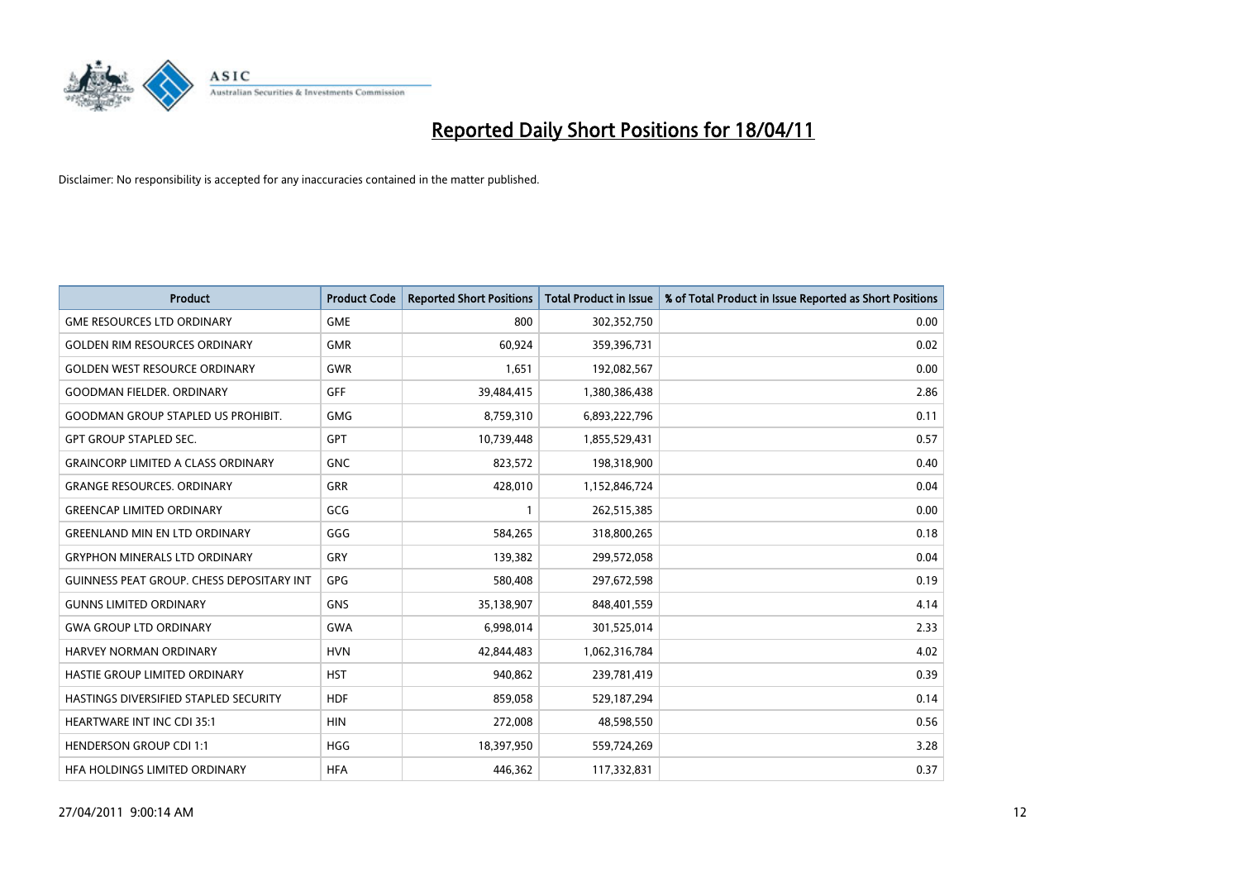

| <b>Product</b>                                   | <b>Product Code</b> | <b>Reported Short Positions</b> | <b>Total Product in Issue</b> | % of Total Product in Issue Reported as Short Positions |
|--------------------------------------------------|---------------------|---------------------------------|-------------------------------|---------------------------------------------------------|
| <b>GME RESOURCES LTD ORDINARY</b>                | <b>GME</b>          | 800                             | 302,352,750                   | 0.00                                                    |
| <b>GOLDEN RIM RESOURCES ORDINARY</b>             | <b>GMR</b>          | 60,924                          | 359,396,731                   | 0.02                                                    |
| <b>GOLDEN WEST RESOURCE ORDINARY</b>             | <b>GWR</b>          | 1,651                           | 192,082,567                   | 0.00                                                    |
| <b>GOODMAN FIELDER, ORDINARY</b>                 | <b>GFF</b>          | 39,484,415                      | 1,380,386,438                 | 2.86                                                    |
| <b>GOODMAN GROUP STAPLED US PROHIBIT.</b>        | <b>GMG</b>          | 8,759,310                       | 6,893,222,796                 | 0.11                                                    |
| <b>GPT GROUP STAPLED SEC.</b>                    | <b>GPT</b>          | 10,739,448                      | 1,855,529,431                 | 0.57                                                    |
| <b>GRAINCORP LIMITED A CLASS ORDINARY</b>        | <b>GNC</b>          | 823,572                         | 198,318,900                   | 0.40                                                    |
| <b>GRANGE RESOURCES, ORDINARY</b>                | <b>GRR</b>          | 428,010                         | 1,152,846,724                 | 0.04                                                    |
| <b>GREENCAP LIMITED ORDINARY</b>                 | GCG                 |                                 | 262,515,385                   | 0.00                                                    |
| <b>GREENLAND MIN EN LTD ORDINARY</b>             | GGG                 | 584,265                         | 318,800,265                   | 0.18                                                    |
| <b>GRYPHON MINERALS LTD ORDINARY</b>             | <b>GRY</b>          | 139,382                         | 299,572,058                   | 0.04                                                    |
| <b>GUINNESS PEAT GROUP. CHESS DEPOSITARY INT</b> | GPG                 | 580,408                         | 297,672,598                   | 0.19                                                    |
| <b>GUNNS LIMITED ORDINARY</b>                    | <b>GNS</b>          | 35,138,907                      | 848,401,559                   | 4.14                                                    |
| <b>GWA GROUP LTD ORDINARY</b>                    | <b>GWA</b>          | 6,998,014                       | 301,525,014                   | 2.33                                                    |
| HARVEY NORMAN ORDINARY                           | <b>HVN</b>          | 42,844,483                      | 1,062,316,784                 | 4.02                                                    |
| HASTIE GROUP LIMITED ORDINARY                    | <b>HST</b>          | 940,862                         | 239,781,419                   | 0.39                                                    |
| HASTINGS DIVERSIFIED STAPLED SECURITY            | <b>HDF</b>          | 859,058                         | 529,187,294                   | 0.14                                                    |
| <b>HEARTWARE INT INC CDI 35:1</b>                | <b>HIN</b>          | 272,008                         | 48,598,550                    | 0.56                                                    |
| <b>HENDERSON GROUP CDI 1:1</b>                   | <b>HGG</b>          | 18,397,950                      | 559,724,269                   | 3.28                                                    |
| HEA HOLDINGS LIMITED ORDINARY                    | <b>HFA</b>          | 446.362                         | 117,332,831                   | 0.37                                                    |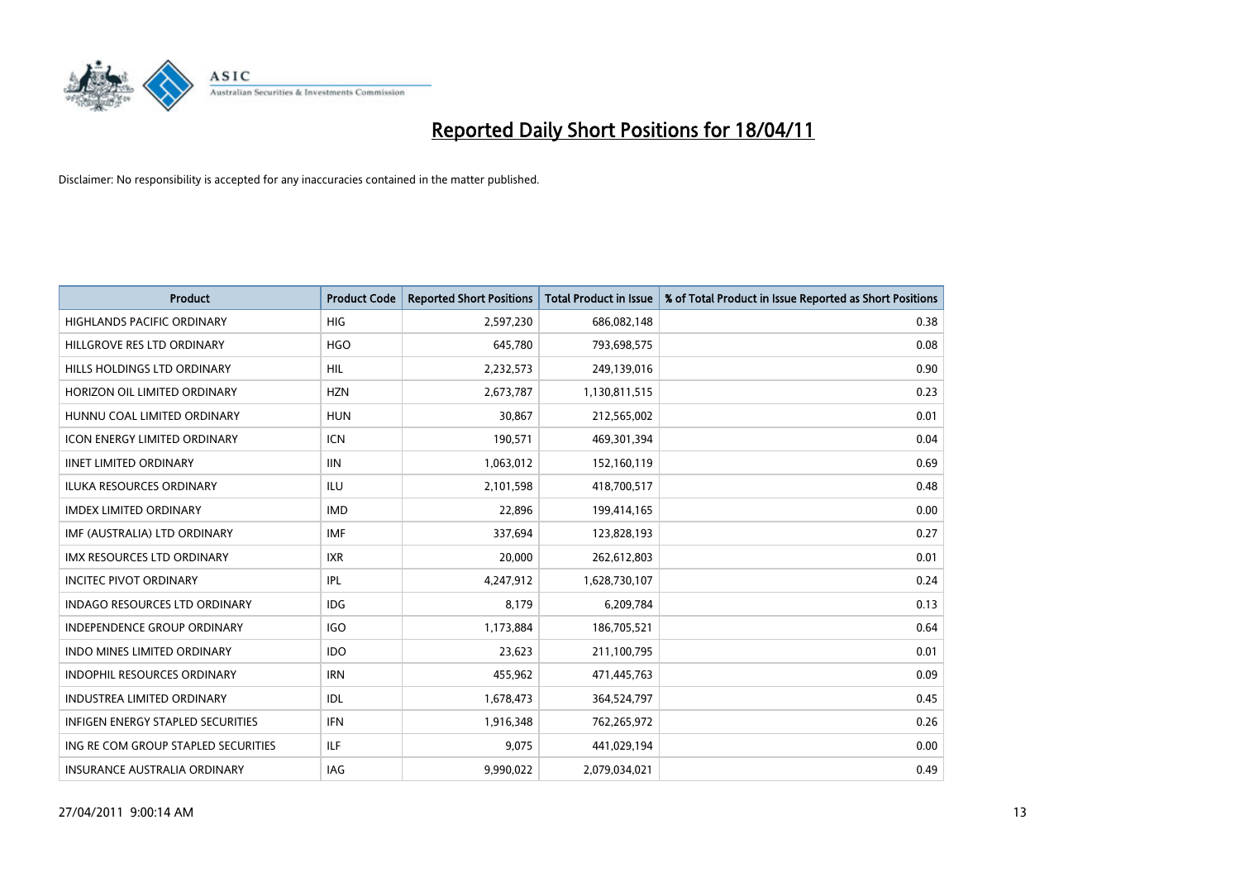

| <b>Product</b>                       | <b>Product Code</b> | <b>Reported Short Positions</b> | Total Product in Issue | % of Total Product in Issue Reported as Short Positions |
|--------------------------------------|---------------------|---------------------------------|------------------------|---------------------------------------------------------|
| <b>HIGHLANDS PACIFIC ORDINARY</b>    | <b>HIG</b>          | 2,597,230                       | 686,082,148            | 0.38                                                    |
| HILLGROVE RES LTD ORDINARY           | <b>HGO</b>          | 645,780                         | 793,698,575            | 0.08                                                    |
| HILLS HOLDINGS LTD ORDINARY          | <b>HIL</b>          | 2,232,573                       | 249,139,016            | 0.90                                                    |
| HORIZON OIL LIMITED ORDINARY         | <b>HZN</b>          | 2,673,787                       | 1,130,811,515          | 0.23                                                    |
| HUNNU COAL LIMITED ORDINARY          | <b>HUN</b>          | 30.867                          | 212,565,002            | 0.01                                                    |
| <b>ICON ENERGY LIMITED ORDINARY</b>  | <b>ICN</b>          | 190,571                         | 469,301,394            | 0.04                                                    |
| <b>IINET LIMITED ORDINARY</b>        | <b>IIN</b>          | 1,063,012                       | 152,160,119            | 0.69                                                    |
| <b>ILUKA RESOURCES ORDINARY</b>      | ILU                 | 2,101,598                       | 418,700,517            | 0.48                                                    |
| <b>IMDEX LIMITED ORDINARY</b>        | <b>IMD</b>          | 22,896                          | 199,414,165            | 0.00                                                    |
| IMF (AUSTRALIA) LTD ORDINARY         | <b>IMF</b>          | 337,694                         | 123,828,193            | 0.27                                                    |
| <b>IMX RESOURCES LTD ORDINARY</b>    | <b>IXR</b>          | 20.000                          | 262,612,803            | 0.01                                                    |
| <b>INCITEC PIVOT ORDINARY</b>        | <b>IPL</b>          | 4,247,912                       | 1,628,730,107          | 0.24                                                    |
| <b>INDAGO RESOURCES LTD ORDINARY</b> | <b>IDG</b>          | 8.179                           | 6,209,784              | 0.13                                                    |
| <b>INDEPENDENCE GROUP ORDINARY</b>   | <b>IGO</b>          | 1,173,884                       | 186,705,521            | 0.64                                                    |
| <b>INDO MINES LIMITED ORDINARY</b>   | <b>IDO</b>          | 23,623                          | 211,100,795            | 0.01                                                    |
| <b>INDOPHIL RESOURCES ORDINARY</b>   | <b>IRN</b>          | 455,962                         | 471,445,763            | 0.09                                                    |
| <b>INDUSTREA LIMITED ORDINARY</b>    | <b>IDL</b>          | 1,678,473                       | 364,524,797            | 0.45                                                    |
| INFIGEN ENERGY STAPLED SECURITIES    | <b>IFN</b>          | 1,916,348                       | 762,265,972            | 0.26                                                    |
| ING RE COM GROUP STAPLED SECURITIES  | <b>ILF</b>          | 9,075                           | 441,029,194            | 0.00                                                    |
| INSURANCE AUSTRALIA ORDINARY         | IAG                 | 9.990.022                       | 2,079,034,021          | 0.49                                                    |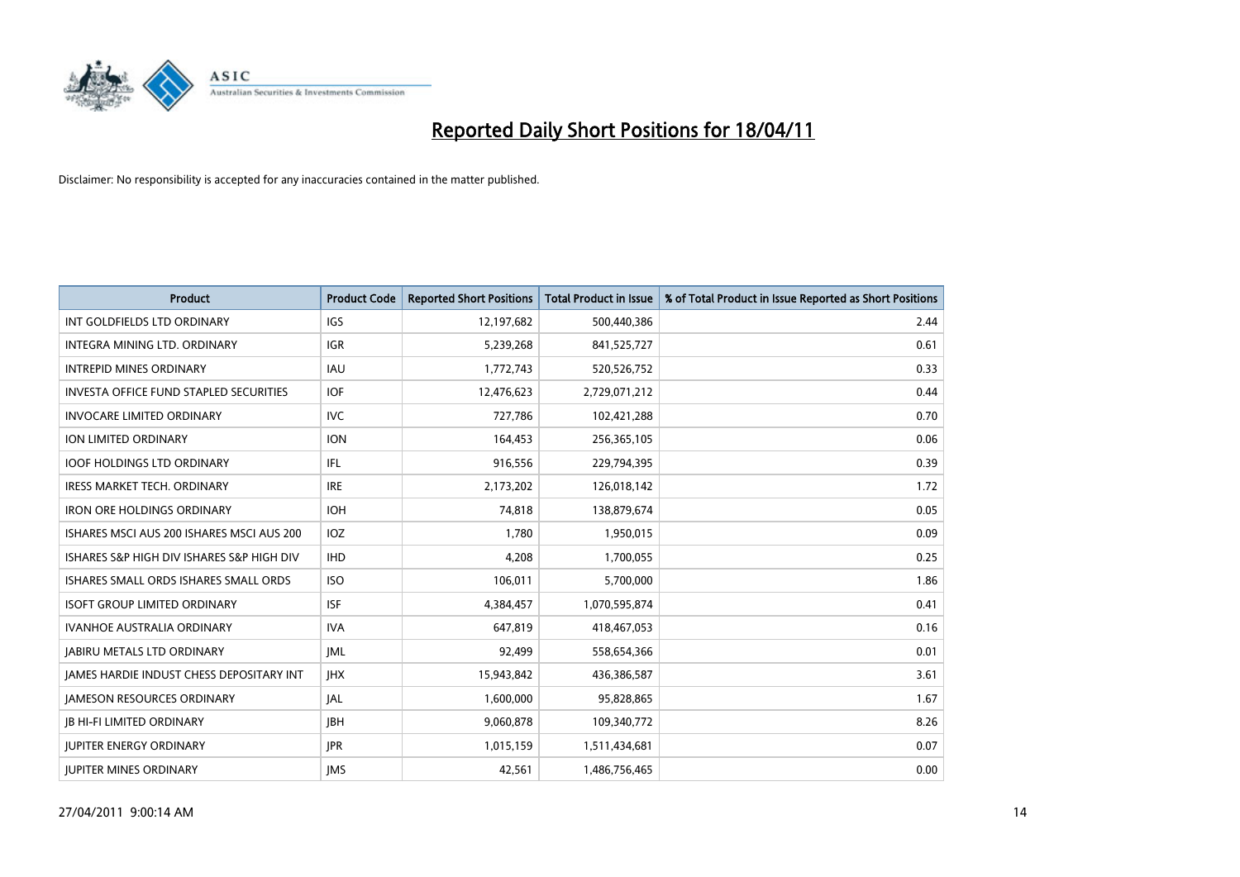

| <b>Product</b>                                  | <b>Product Code</b> | <b>Reported Short Positions</b> | Total Product in Issue | % of Total Product in Issue Reported as Short Positions |
|-------------------------------------------------|---------------------|---------------------------------|------------------------|---------------------------------------------------------|
| INT GOLDFIELDS LTD ORDINARY                     | <b>IGS</b>          | 12,197,682                      | 500,440,386            | 2.44                                                    |
| INTEGRA MINING LTD. ORDINARY                    | <b>IGR</b>          | 5,239,268                       | 841,525,727            | 0.61                                                    |
| <b>INTREPID MINES ORDINARY</b>                  | <b>IAU</b>          | 1,772,743                       | 520,526,752            | 0.33                                                    |
| <b>INVESTA OFFICE FUND STAPLED SECURITIES</b>   | <b>IOF</b>          | 12,476,623                      | 2,729,071,212          | 0.44                                                    |
| <b>INVOCARE LIMITED ORDINARY</b>                | <b>IVC</b>          | 727,786                         | 102,421,288            | 0.70                                                    |
| ION LIMITED ORDINARY                            | <b>ION</b>          | 164,453                         | 256,365,105            | 0.06                                                    |
| <b>IOOF HOLDINGS LTD ORDINARY</b>               | <b>IFL</b>          | 916,556                         | 229,794,395            | 0.39                                                    |
| <b>IRESS MARKET TECH. ORDINARY</b>              | <b>IRE</b>          | 2,173,202                       | 126,018,142            | 1.72                                                    |
| <b>IRON ORE HOLDINGS ORDINARY</b>               | <b>IOH</b>          | 74,818                          | 138,879,674            | 0.05                                                    |
| ISHARES MSCI AUS 200 ISHARES MSCI AUS 200       | <b>IOZ</b>          | 1,780                           | 1,950,015              | 0.09                                                    |
| ISHARES S&P HIGH DIV ISHARES S&P HIGH DIV       | <b>IHD</b>          | 4,208                           | 1,700,055              | 0.25                                                    |
| <b>ISHARES SMALL ORDS ISHARES SMALL ORDS</b>    | <b>ISO</b>          | 106,011                         | 5,700,000              | 1.86                                                    |
| <b>ISOFT GROUP LIMITED ORDINARY</b>             | <b>ISF</b>          | 4,384,457                       | 1,070,595,874          | 0.41                                                    |
| <b>IVANHOE AUSTRALIA ORDINARY</b>               | <b>IVA</b>          | 647,819                         | 418,467,053            | 0.16                                                    |
| <b>JABIRU METALS LTD ORDINARY</b>               | <b>JML</b>          | 92,499                          | 558,654,366            | 0.01                                                    |
| <b>JAMES HARDIE INDUST CHESS DEPOSITARY INT</b> | <b>IHX</b>          | 15,943,842                      | 436,386,587            | 3.61                                                    |
| <b>JAMESON RESOURCES ORDINARY</b>               | <b>JAL</b>          | 1,600,000                       | 95,828,865             | 1.67                                                    |
| <b>JB HI-FI LIMITED ORDINARY</b>                | <b>IBH</b>          | 9,060,878                       | 109,340,772            | 8.26                                                    |
| <b>IUPITER ENERGY ORDINARY</b>                  | <b>IPR</b>          | 1,015,159                       | 1,511,434,681          | 0.07                                                    |
| <b>IUPITER MINES ORDINARY</b>                   | <b>IMS</b>          | 42.561                          | 1,486,756,465          | 0.00                                                    |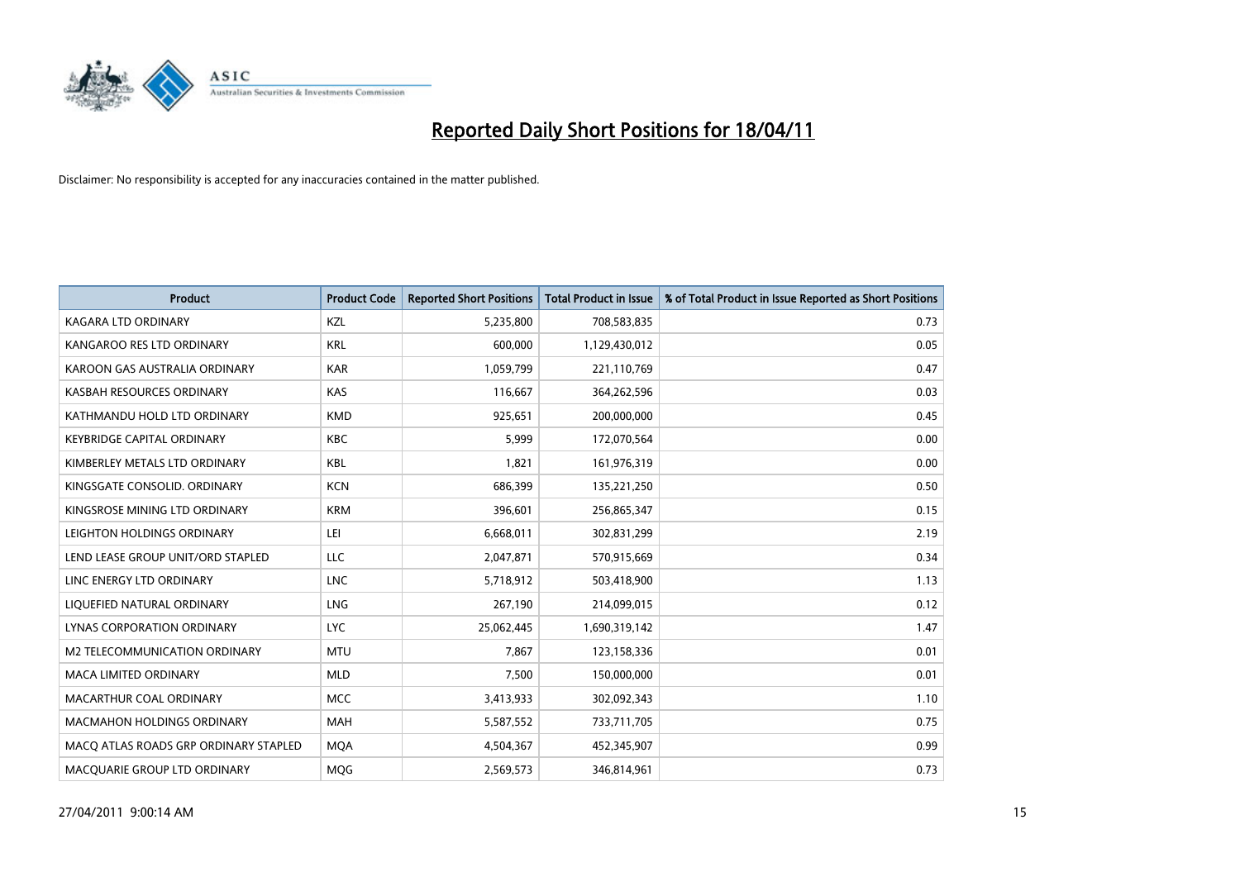

| <b>Product</b>                        | <b>Product Code</b> | <b>Reported Short Positions</b> | Total Product in Issue | % of Total Product in Issue Reported as Short Positions |
|---------------------------------------|---------------------|---------------------------------|------------------------|---------------------------------------------------------|
| KAGARA LTD ORDINARY                   | KZL                 | 5,235,800                       | 708,583,835            | 0.73                                                    |
| KANGAROO RES LTD ORDINARY             | <b>KRL</b>          | 600.000                         | 1,129,430,012          | 0.05                                                    |
| KAROON GAS AUSTRALIA ORDINARY         | <b>KAR</b>          | 1,059,799                       | 221,110,769            | 0.47                                                    |
| KASBAH RESOURCES ORDINARY             | KAS                 | 116,667                         | 364,262,596            | 0.03                                                    |
| KATHMANDU HOLD LTD ORDINARY           | <b>KMD</b>          | 925,651                         | 200,000,000            | 0.45                                                    |
| <b>KEYBRIDGE CAPITAL ORDINARY</b>     | <b>KBC</b>          | 5,999                           | 172,070,564            | 0.00                                                    |
| KIMBERLEY METALS LTD ORDINARY         | <b>KBL</b>          | 1.821                           | 161,976,319            | 0.00                                                    |
| KINGSGATE CONSOLID, ORDINARY          | <b>KCN</b>          | 686,399                         | 135,221,250            | 0.50                                                    |
| KINGSROSE MINING LTD ORDINARY         | <b>KRM</b>          | 396,601                         | 256,865,347            | 0.15                                                    |
| LEIGHTON HOLDINGS ORDINARY            | LEI                 | 6,668,011                       | 302,831,299            | 2.19                                                    |
| LEND LEASE GROUP UNIT/ORD STAPLED     | LLC                 | 2,047,871                       | 570,915,669            | 0.34                                                    |
| LINC ENERGY LTD ORDINARY              | <b>LNC</b>          | 5,718,912                       | 503,418,900            | 1.13                                                    |
| LIQUEFIED NATURAL ORDINARY            | LNG                 | 267.190                         | 214,099,015            | 0.12                                                    |
| LYNAS CORPORATION ORDINARY            | <b>LYC</b>          | 25,062,445                      | 1,690,319,142          | 1.47                                                    |
| M2 TELECOMMUNICATION ORDINARY         | <b>MTU</b>          | 7,867                           | 123,158,336            | 0.01                                                    |
| <b>MACA LIMITED ORDINARY</b>          | <b>MLD</b>          | 7,500                           | 150,000,000            | 0.01                                                    |
| MACARTHUR COAL ORDINARY               | <b>MCC</b>          | 3,413,933                       | 302,092,343            | 1.10                                                    |
| MACMAHON HOLDINGS ORDINARY            | <b>MAH</b>          | 5,587,552                       | 733,711,705            | 0.75                                                    |
| MACO ATLAS ROADS GRP ORDINARY STAPLED | <b>MOA</b>          | 4,504,367                       | 452,345,907            | 0.99                                                    |
| MACQUARIE GROUP LTD ORDINARY          | <b>MOG</b>          | 2,569,573                       | 346,814,961            | 0.73                                                    |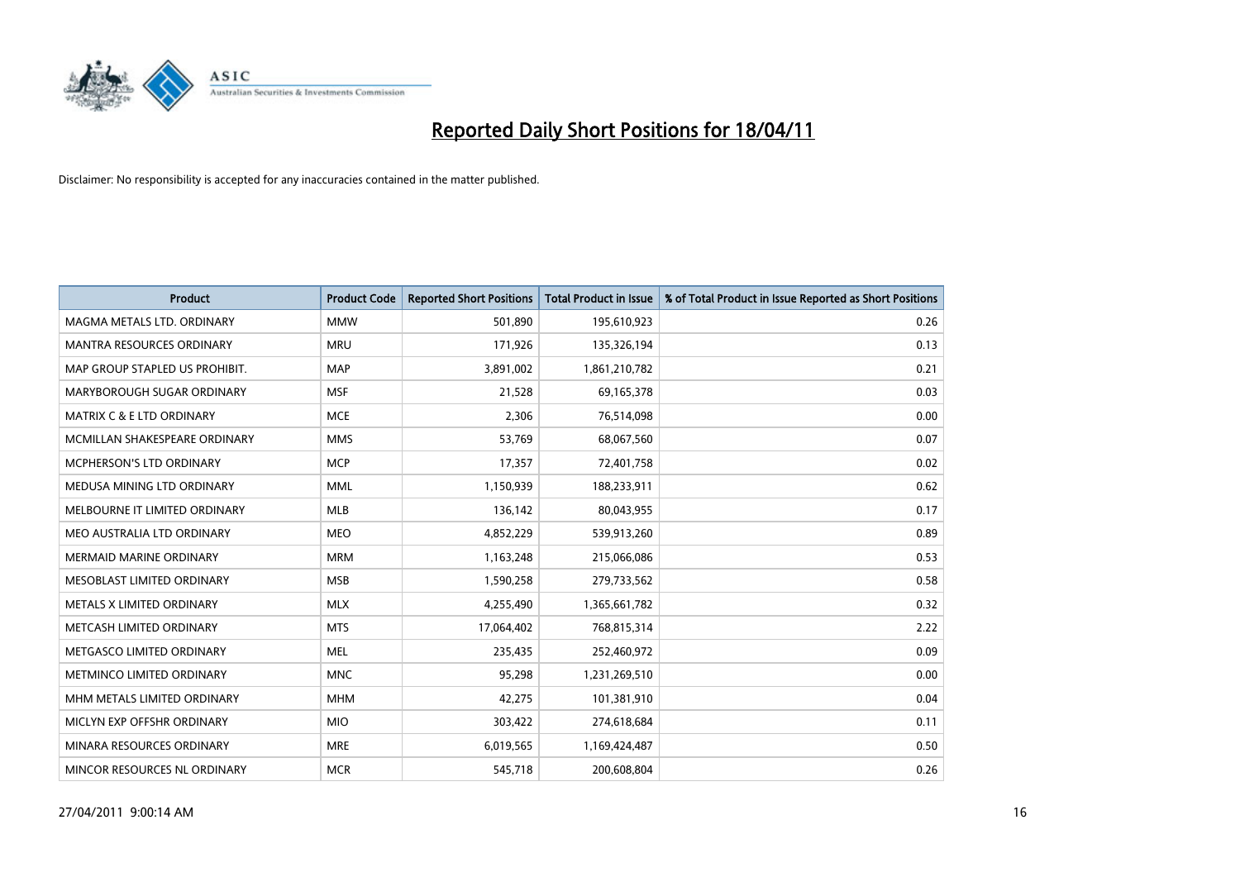

| <b>Product</b>                       | <b>Product Code</b> | <b>Reported Short Positions</b> | <b>Total Product in Issue</b> | % of Total Product in Issue Reported as Short Positions |
|--------------------------------------|---------------------|---------------------------------|-------------------------------|---------------------------------------------------------|
| MAGMA METALS LTD. ORDINARY           | <b>MMW</b>          | 501,890                         | 195,610,923                   | 0.26                                                    |
| MANTRA RESOURCES ORDINARY            | <b>MRU</b>          | 171,926                         | 135,326,194                   | 0.13                                                    |
| MAP GROUP STAPLED US PROHIBIT.       | <b>MAP</b>          | 3,891,002                       | 1,861,210,782                 | 0.21                                                    |
| MARYBOROUGH SUGAR ORDINARY           | <b>MSF</b>          | 21,528                          | 69,165,378                    | 0.03                                                    |
| <b>MATRIX C &amp; E LTD ORDINARY</b> | <b>MCE</b>          | 2,306                           | 76,514,098                    | 0.00                                                    |
| MCMILLAN SHAKESPEARE ORDINARY        | <b>MMS</b>          | 53,769                          | 68,067,560                    | 0.07                                                    |
| MCPHERSON'S LTD ORDINARY             | <b>MCP</b>          | 17,357                          | 72,401,758                    | 0.02                                                    |
| MEDUSA MINING LTD ORDINARY           | <b>MML</b>          | 1,150,939                       | 188,233,911                   | 0.62                                                    |
| MELBOURNE IT LIMITED ORDINARY        | <b>MLB</b>          | 136,142                         | 80,043,955                    | 0.17                                                    |
| MEO AUSTRALIA LTD ORDINARY           | <b>MEO</b>          | 4,852,229                       | 539,913,260                   | 0.89                                                    |
| MERMAID MARINE ORDINARY              | <b>MRM</b>          | 1,163,248                       | 215,066,086                   | 0.53                                                    |
| MESOBLAST LIMITED ORDINARY           | <b>MSB</b>          | 1,590,258                       | 279,733,562                   | 0.58                                                    |
| METALS X LIMITED ORDINARY            | <b>MLX</b>          | 4,255,490                       | 1,365,661,782                 | 0.32                                                    |
| METCASH LIMITED ORDINARY             | <b>MTS</b>          | 17,064,402                      | 768,815,314                   | 2.22                                                    |
| METGASCO LIMITED ORDINARY            | <b>MEL</b>          | 235,435                         | 252,460,972                   | 0.09                                                    |
| METMINCO LIMITED ORDINARY            | <b>MNC</b>          | 95,298                          | 1,231,269,510                 | 0.00                                                    |
| MHM METALS LIMITED ORDINARY          | <b>MHM</b>          | 42,275                          | 101,381,910                   | 0.04                                                    |
| MICLYN EXP OFFSHR ORDINARY           | <b>MIO</b>          | 303,422                         | 274,618,684                   | 0.11                                                    |
| MINARA RESOURCES ORDINARY            | <b>MRE</b>          | 6,019,565                       | 1,169,424,487                 | 0.50                                                    |
| MINCOR RESOURCES NL ORDINARY         | <b>MCR</b>          | 545,718                         | 200,608,804                   | 0.26                                                    |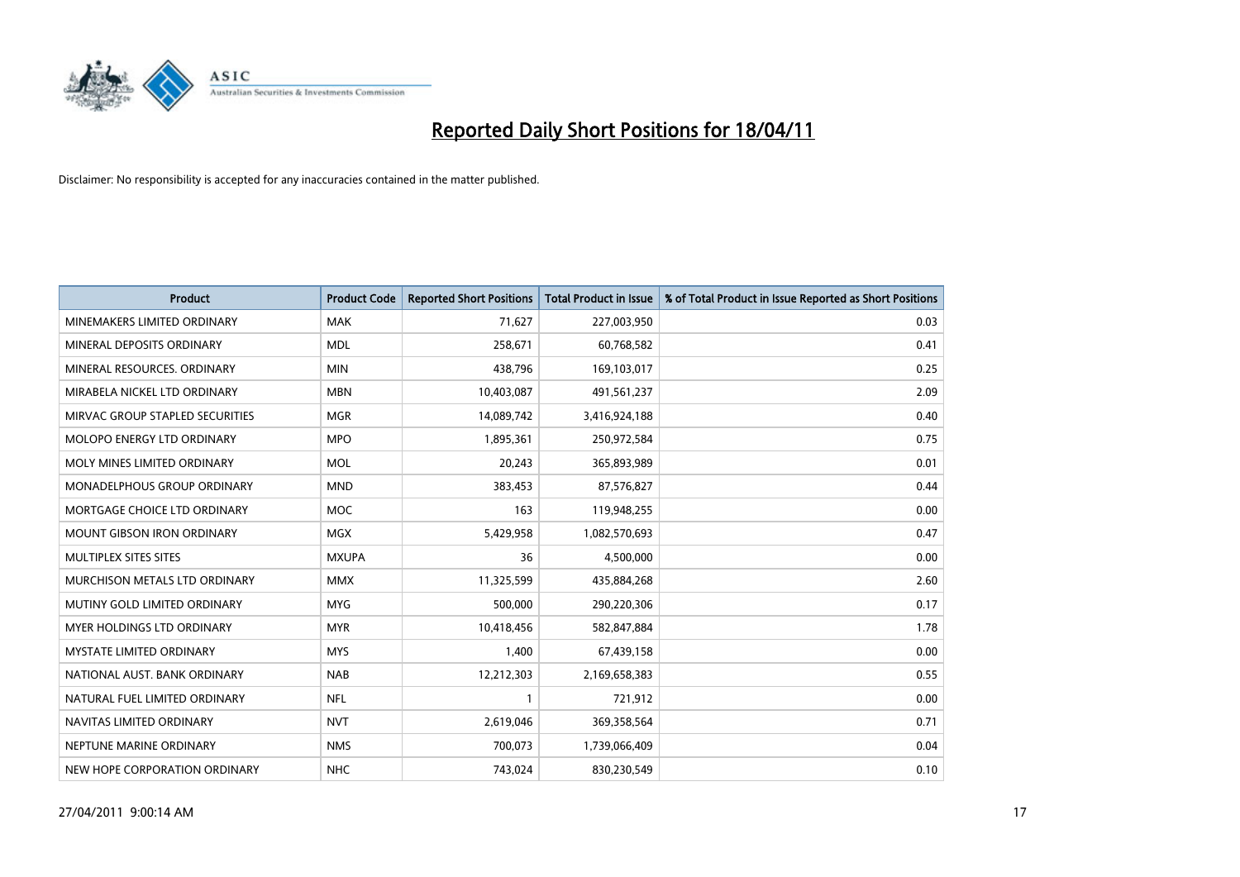

| <b>Product</b>                       | <b>Product Code</b> | <b>Reported Short Positions</b> | <b>Total Product in Issue</b> | % of Total Product in Issue Reported as Short Positions |
|--------------------------------------|---------------------|---------------------------------|-------------------------------|---------------------------------------------------------|
| MINEMAKERS LIMITED ORDINARY          | <b>MAK</b>          | 71,627                          | 227,003,950                   | 0.03                                                    |
| MINERAL DEPOSITS ORDINARY            | <b>MDL</b>          | 258,671                         | 60,768,582                    | 0.41                                                    |
| MINERAL RESOURCES, ORDINARY          | <b>MIN</b>          | 438,796                         | 169,103,017                   | 0.25                                                    |
| MIRABELA NICKEL LTD ORDINARY         | <b>MBN</b>          | 10,403,087                      | 491,561,237                   | 2.09                                                    |
| MIRVAC GROUP STAPLED SECURITIES      | <b>MGR</b>          | 14,089,742                      | 3,416,924,188                 | 0.40                                                    |
| MOLOPO ENERGY LTD ORDINARY           | <b>MPO</b>          | 1,895,361                       | 250,972,584                   | 0.75                                                    |
| MOLY MINES LIMITED ORDINARY          | <b>MOL</b>          | 20.243                          | 365,893,989                   | 0.01                                                    |
| MONADELPHOUS GROUP ORDINARY          | <b>MND</b>          | 383,453                         | 87,576,827                    | 0.44                                                    |
| MORTGAGE CHOICE LTD ORDINARY         | <b>MOC</b>          | 163                             | 119,948,255                   | 0.00                                                    |
| <b>MOUNT GIBSON IRON ORDINARY</b>    | MGX                 | 5,429,958                       | 1,082,570,693                 | 0.47                                                    |
| MULTIPLEX SITES SITES                | <b>MXUPA</b>        | 36                              | 4,500,000                     | 0.00                                                    |
| <b>MURCHISON METALS LTD ORDINARY</b> | <b>MMX</b>          | 11,325,599                      | 435,884,268                   | 2.60                                                    |
| MUTINY GOLD LIMITED ORDINARY         | <b>MYG</b>          | 500.000                         | 290,220,306                   | 0.17                                                    |
| MYER HOLDINGS LTD ORDINARY           | <b>MYR</b>          | 10,418,456                      | 582,847,884                   | 1.78                                                    |
| <b>MYSTATE LIMITED ORDINARY</b>      | <b>MYS</b>          | 1,400                           | 67,439,158                    | 0.00                                                    |
| NATIONAL AUST. BANK ORDINARY         | <b>NAB</b>          | 12,212,303                      | 2,169,658,383                 | 0.55                                                    |
| NATURAL FUEL LIMITED ORDINARY        | <b>NFL</b>          |                                 | 721,912                       | 0.00                                                    |
| NAVITAS LIMITED ORDINARY             | <b>NVT</b>          | 2,619,046                       | 369,358,564                   | 0.71                                                    |
| NEPTUNE MARINE ORDINARY              | <b>NMS</b>          | 700,073                         | 1,739,066,409                 | 0.04                                                    |
| NEW HOPE CORPORATION ORDINARY        | <b>NHC</b>          | 743.024                         | 830,230,549                   | 0.10                                                    |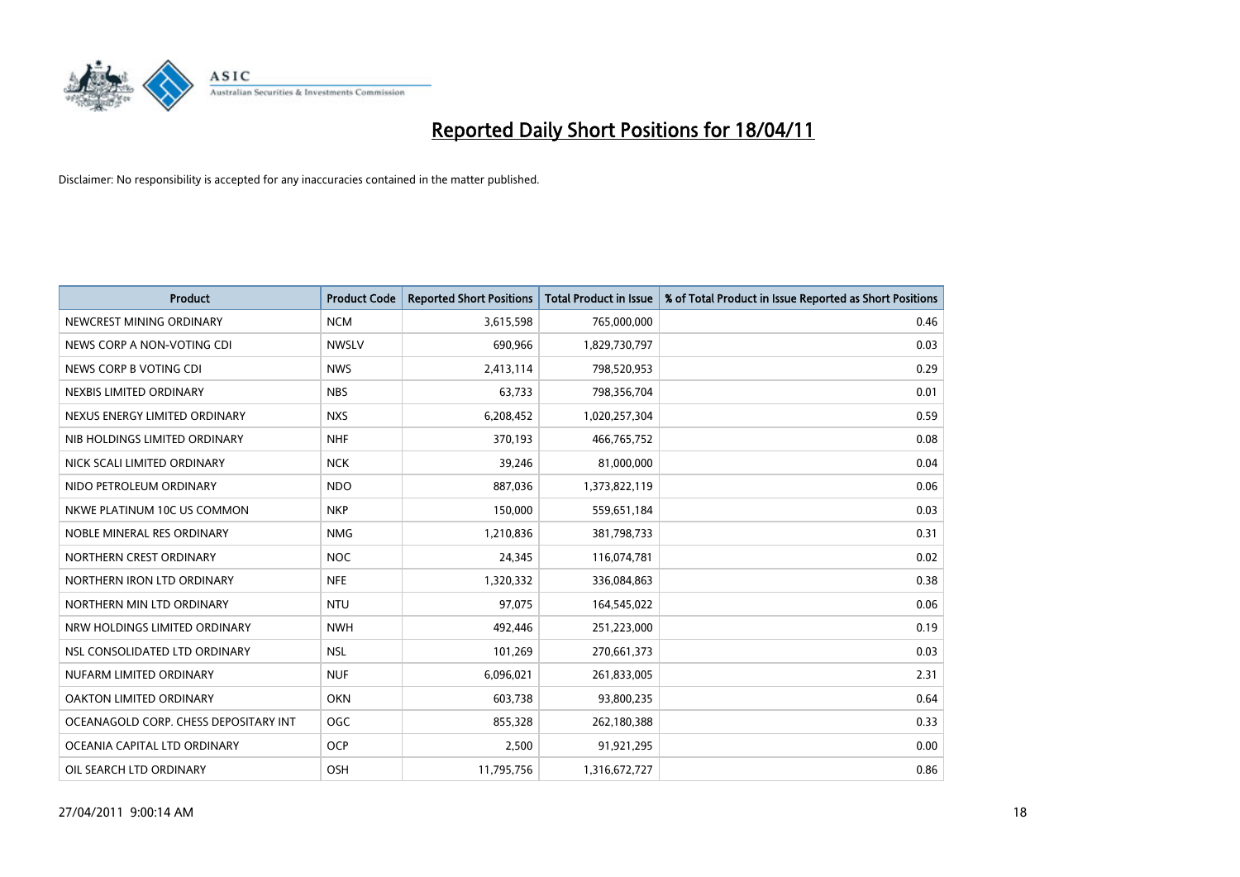

| <b>Product</b>                        | <b>Product Code</b> | <b>Reported Short Positions</b> | Total Product in Issue | % of Total Product in Issue Reported as Short Positions |
|---------------------------------------|---------------------|---------------------------------|------------------------|---------------------------------------------------------|
| NEWCREST MINING ORDINARY              | <b>NCM</b>          | 3,615,598                       | 765,000,000            | 0.46                                                    |
| NEWS CORP A NON-VOTING CDI            | <b>NWSLV</b>        | 690,966                         | 1,829,730,797          | 0.03                                                    |
| NEWS CORP B VOTING CDI                | <b>NWS</b>          | 2,413,114                       | 798,520,953            | 0.29                                                    |
| NEXBIS LIMITED ORDINARY               | <b>NBS</b>          | 63,733                          | 798,356,704            | 0.01                                                    |
| NEXUS ENERGY LIMITED ORDINARY         | <b>NXS</b>          | 6,208,452                       | 1,020,257,304          | 0.59                                                    |
| NIB HOLDINGS LIMITED ORDINARY         | <b>NHF</b>          | 370,193                         | 466,765,752            | 0.08                                                    |
| NICK SCALI LIMITED ORDINARY           | <b>NCK</b>          | 39,246                          | 81,000,000             | 0.04                                                    |
| NIDO PETROLEUM ORDINARY               | <b>NDO</b>          | 887,036                         | 1,373,822,119          | 0.06                                                    |
| NKWE PLATINUM 10C US COMMON           | <b>NKP</b>          | 150,000                         | 559,651,184            | 0.03                                                    |
| NOBLE MINERAL RES ORDINARY            | <b>NMG</b>          | 1,210,836                       | 381,798,733            | 0.31                                                    |
| NORTHERN CREST ORDINARY               | <b>NOC</b>          | 24,345                          | 116,074,781            | 0.02                                                    |
| NORTHERN IRON LTD ORDINARY            | <b>NFE</b>          | 1,320,332                       | 336,084,863            | 0.38                                                    |
| NORTHERN MIN LTD ORDINARY             | <b>NTU</b>          | 97,075                          | 164,545,022            | 0.06                                                    |
| NRW HOLDINGS LIMITED ORDINARY         | <b>NWH</b>          | 492,446                         | 251,223,000            | 0.19                                                    |
| NSL CONSOLIDATED LTD ORDINARY         | <b>NSL</b>          | 101,269                         | 270,661,373            | 0.03                                                    |
| NUFARM LIMITED ORDINARY               | <b>NUF</b>          | 6,096,021                       | 261,833,005            | 2.31                                                    |
| OAKTON LIMITED ORDINARY               | <b>OKN</b>          | 603,738                         | 93,800,235             | 0.64                                                    |
| OCEANAGOLD CORP. CHESS DEPOSITARY INT | <b>OGC</b>          | 855,328                         | 262,180,388            | 0.33                                                    |
| OCEANIA CAPITAL LTD ORDINARY          | <b>OCP</b>          | 2,500                           | 91,921,295             | 0.00                                                    |
| OIL SEARCH LTD ORDINARY               | OSH                 | 11,795,756                      | 1,316,672,727          | 0.86                                                    |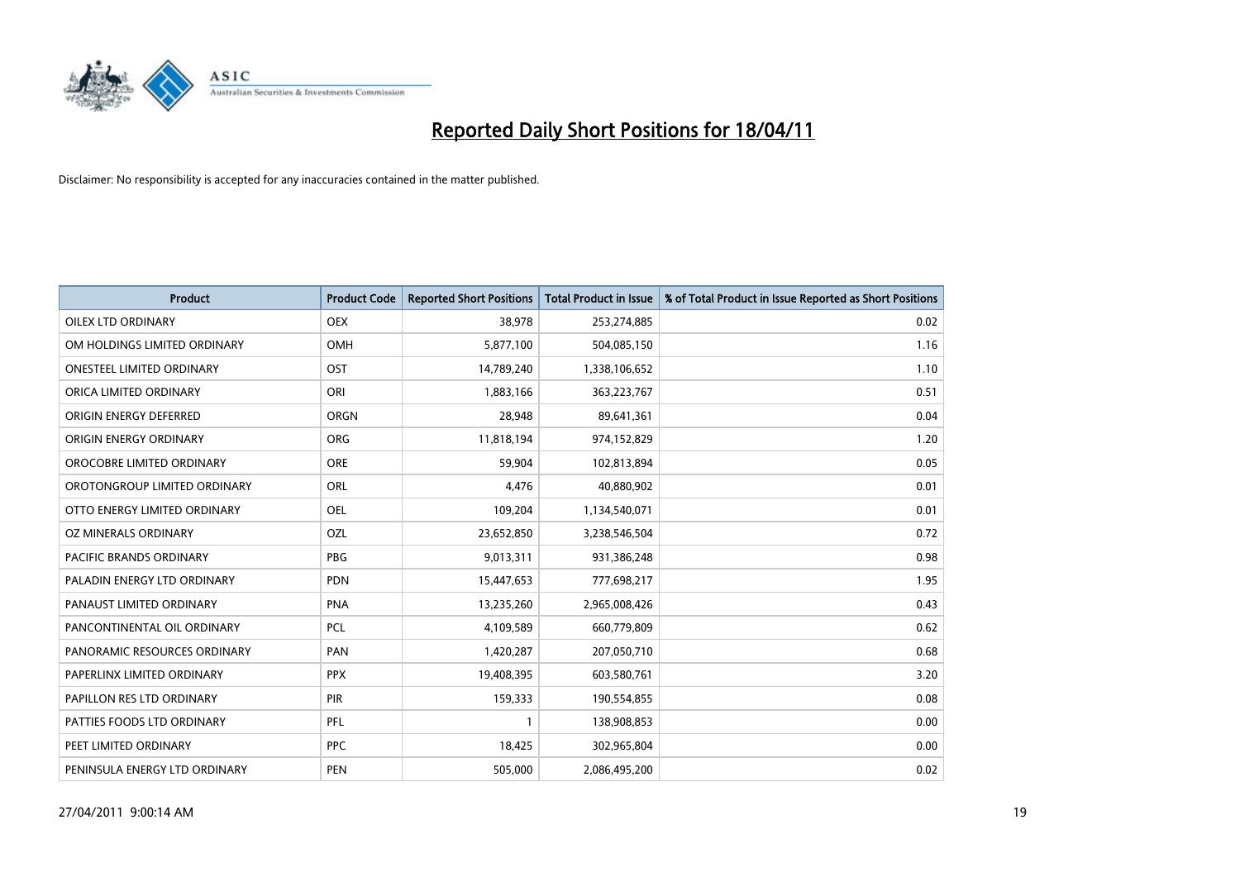

| <b>Product</b>                   | <b>Product Code</b> | <b>Reported Short Positions</b> | <b>Total Product in Issue</b> | % of Total Product in Issue Reported as Short Positions |
|----------------------------------|---------------------|---------------------------------|-------------------------------|---------------------------------------------------------|
| OILEX LTD ORDINARY               | <b>OEX</b>          | 38,978                          | 253,274,885                   | 0.02                                                    |
| OM HOLDINGS LIMITED ORDINARY     | <b>OMH</b>          | 5,877,100                       | 504,085,150                   | 1.16                                                    |
| <b>ONESTEEL LIMITED ORDINARY</b> | OST                 | 14,789,240                      | 1,338,106,652                 | 1.10                                                    |
| ORICA LIMITED ORDINARY           | ORI                 | 1,883,166                       | 363,223,767                   | 0.51                                                    |
| ORIGIN ENERGY DEFERRED           | <b>ORGN</b>         | 28,948                          | 89,641,361                    | 0.04                                                    |
| ORIGIN ENERGY ORDINARY           | <b>ORG</b>          | 11,818,194                      | 974,152,829                   | 1.20                                                    |
| OROCOBRE LIMITED ORDINARY        | <b>ORE</b>          | 59,904                          | 102,813,894                   | 0.05                                                    |
| OROTONGROUP LIMITED ORDINARY     | ORL                 | 4,476                           | 40,880,902                    | 0.01                                                    |
| OTTO ENERGY LIMITED ORDINARY     | <b>OEL</b>          | 109,204                         | 1,134,540,071                 | 0.01                                                    |
| OZ MINERALS ORDINARY             | OZL                 | 23,652,850                      | 3,238,546,504                 | 0.72                                                    |
| <b>PACIFIC BRANDS ORDINARY</b>   | <b>PBG</b>          | 9,013,311                       | 931,386,248                   | 0.98                                                    |
| PALADIN ENERGY LTD ORDINARY      | PDN                 | 15,447,653                      | 777,698,217                   | 1.95                                                    |
| PANAUST LIMITED ORDINARY         | <b>PNA</b>          | 13,235,260                      | 2,965,008,426                 | 0.43                                                    |
| PANCONTINENTAL OIL ORDINARY      | PCL                 | 4,109,589                       | 660,779,809                   | 0.62                                                    |
| PANORAMIC RESOURCES ORDINARY     | PAN                 | 1,420,287                       | 207,050,710                   | 0.68                                                    |
| PAPERLINX LIMITED ORDINARY       | <b>PPX</b>          | 19,408,395                      | 603,580,761                   | 3.20                                                    |
| PAPILLON RES LTD ORDINARY        | PIR                 | 159,333                         | 190,554,855                   | 0.08                                                    |
| PATTIES FOODS LTD ORDINARY       | PFL                 |                                 | 138,908,853                   | 0.00                                                    |
| PEET LIMITED ORDINARY            | <b>PPC</b>          | 18,425                          | 302,965,804                   | 0.00                                                    |
| PENINSULA ENERGY LTD ORDINARY    | PEN                 | 505,000                         | 2,086,495,200                 | 0.02                                                    |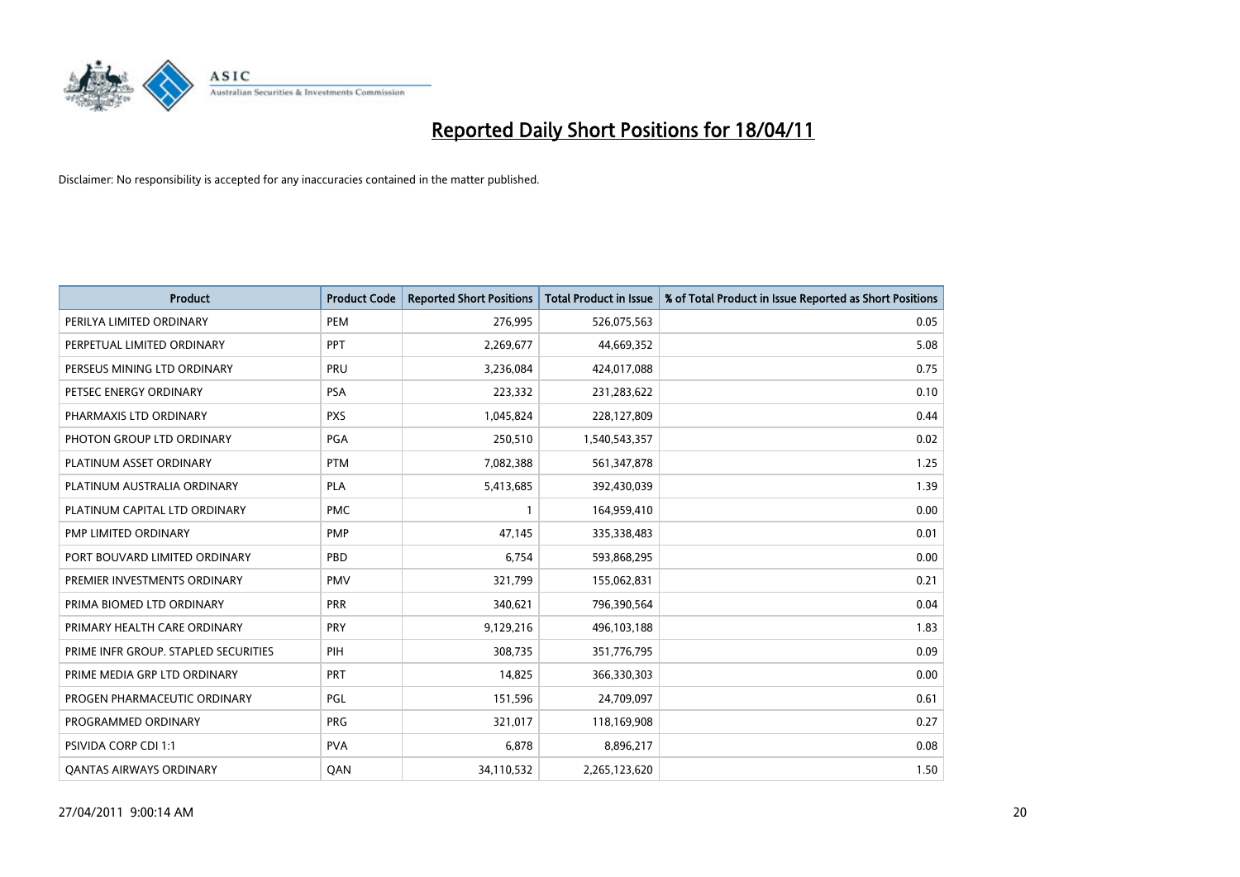

| <b>Product</b>                       | <b>Product Code</b> | <b>Reported Short Positions</b> | <b>Total Product in Issue</b> | % of Total Product in Issue Reported as Short Positions |
|--------------------------------------|---------------------|---------------------------------|-------------------------------|---------------------------------------------------------|
| PERILYA LIMITED ORDINARY             | PEM                 | 276,995                         | 526,075,563                   | 0.05                                                    |
| PERPETUAL LIMITED ORDINARY           | PPT                 | 2,269,677                       | 44,669,352                    | 5.08                                                    |
| PERSEUS MINING LTD ORDINARY          | PRU                 | 3,236,084                       | 424,017,088                   | 0.75                                                    |
| PETSEC ENERGY ORDINARY               | <b>PSA</b>          | 223,332                         | 231,283,622                   | 0.10                                                    |
| PHARMAXIS LTD ORDINARY               | <b>PXS</b>          | 1,045,824                       | 228,127,809                   | 0.44                                                    |
| PHOTON GROUP LTD ORDINARY            | PGA                 | 250,510                         | 1,540,543,357                 | 0.02                                                    |
| PLATINUM ASSET ORDINARY              | <b>PTM</b>          | 7,082,388                       | 561,347,878                   | 1.25                                                    |
| PLATINUM AUSTRALIA ORDINARY          | <b>PLA</b>          | 5,413,685                       | 392,430,039                   | 1.39                                                    |
| PLATINUM CAPITAL LTD ORDINARY        | <b>PMC</b>          |                                 | 164,959,410                   | 0.00                                                    |
| PMP LIMITED ORDINARY                 | <b>PMP</b>          | 47,145                          | 335,338,483                   | 0.01                                                    |
| PORT BOUVARD LIMITED ORDINARY        | PBD                 | 6,754                           | 593,868,295                   | 0.00                                                    |
| PREMIER INVESTMENTS ORDINARY         | <b>PMV</b>          | 321,799                         | 155,062,831                   | 0.21                                                    |
| PRIMA BIOMED LTD ORDINARY            | PRR                 | 340,621                         | 796,390,564                   | 0.04                                                    |
| PRIMARY HEALTH CARE ORDINARY         | PRY                 | 9,129,216                       | 496,103,188                   | 1.83                                                    |
| PRIME INFR GROUP. STAPLED SECURITIES | PIH                 | 308,735                         | 351,776,795                   | 0.09                                                    |
| PRIME MEDIA GRP LTD ORDINARY         | <b>PRT</b>          | 14,825                          | 366,330,303                   | 0.00                                                    |
| PROGEN PHARMACEUTIC ORDINARY         | PGL                 | 151,596                         | 24,709,097                    | 0.61                                                    |
| PROGRAMMED ORDINARY                  | <b>PRG</b>          | 321,017                         | 118,169,908                   | 0.27                                                    |
| PSIVIDA CORP CDI 1:1                 | <b>PVA</b>          | 6,878                           | 8,896,217                     | 0.08                                                    |
| <b>QANTAS AIRWAYS ORDINARY</b>       | QAN                 | 34,110,532                      | 2,265,123,620                 | 1.50                                                    |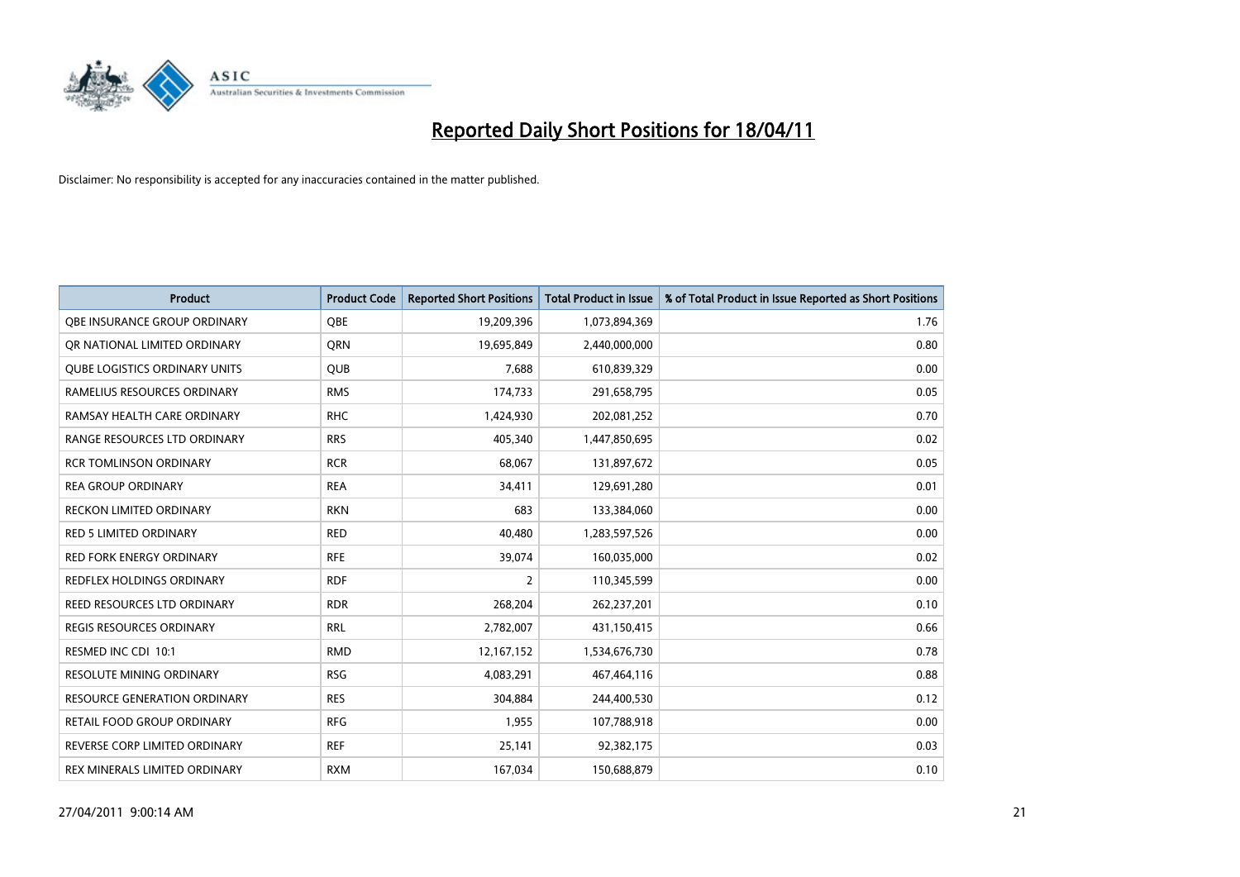

| <b>Product</b>                       | <b>Product Code</b> | <b>Reported Short Positions</b> | <b>Total Product in Issue</b> | % of Total Product in Issue Reported as Short Positions |
|--------------------------------------|---------------------|---------------------------------|-------------------------------|---------------------------------------------------------|
| OBE INSURANCE GROUP ORDINARY         | OBE                 | 19,209,396                      | 1,073,894,369                 | 1.76                                                    |
| OR NATIONAL LIMITED ORDINARY         | <b>ORN</b>          | 19,695,849                      | 2,440,000,000                 | 0.80                                                    |
| <b>QUBE LOGISTICS ORDINARY UNITS</b> | <b>QUB</b>          | 7,688                           | 610,839,329                   | 0.00                                                    |
| RAMELIUS RESOURCES ORDINARY          | <b>RMS</b>          | 174,733                         | 291,658,795                   | 0.05                                                    |
| RAMSAY HEALTH CARE ORDINARY          | <b>RHC</b>          | 1,424,930                       | 202,081,252                   | 0.70                                                    |
| RANGE RESOURCES LTD ORDINARY         | <b>RRS</b>          | 405.340                         | 1,447,850,695                 | 0.02                                                    |
| <b>RCR TOMLINSON ORDINARY</b>        | <b>RCR</b>          | 68,067                          | 131,897,672                   | 0.05                                                    |
| <b>REA GROUP ORDINARY</b>            | <b>REA</b>          | 34,411                          | 129,691,280                   | 0.01                                                    |
| RECKON LIMITED ORDINARY              | <b>RKN</b>          | 683                             | 133,384,060                   | 0.00                                                    |
| <b>RED 5 LIMITED ORDINARY</b>        | <b>RED</b>          | 40,480                          | 1,283,597,526                 | 0.00                                                    |
| <b>RED FORK ENERGY ORDINARY</b>      | <b>RFE</b>          | 39,074                          | 160,035,000                   | 0.02                                                    |
| REDFLEX HOLDINGS ORDINARY            | <b>RDF</b>          | $\overline{2}$                  | 110,345,599                   | 0.00                                                    |
| REED RESOURCES LTD ORDINARY          | <b>RDR</b>          | 268,204                         | 262,237,201                   | 0.10                                                    |
| <b>REGIS RESOURCES ORDINARY</b>      | <b>RRL</b>          | 2,782,007                       | 431,150,415                   | 0.66                                                    |
| RESMED INC CDI 10:1                  | <b>RMD</b>          | 12,167,152                      | 1,534,676,730                 | 0.78                                                    |
| <b>RESOLUTE MINING ORDINARY</b>      | <b>RSG</b>          | 4,083,291                       | 467,464,116                   | 0.88                                                    |
| <b>RESOURCE GENERATION ORDINARY</b>  | <b>RES</b>          | 304,884                         | 244,400,530                   | 0.12                                                    |
| RETAIL FOOD GROUP ORDINARY           | <b>RFG</b>          | 1,955                           | 107,788,918                   | 0.00                                                    |
| REVERSE CORP LIMITED ORDINARY        | <b>REF</b>          | 25,141                          | 92,382,175                    | 0.03                                                    |
| REX MINERALS LIMITED ORDINARY        | <b>RXM</b>          | 167,034                         | 150,688,879                   | 0.10                                                    |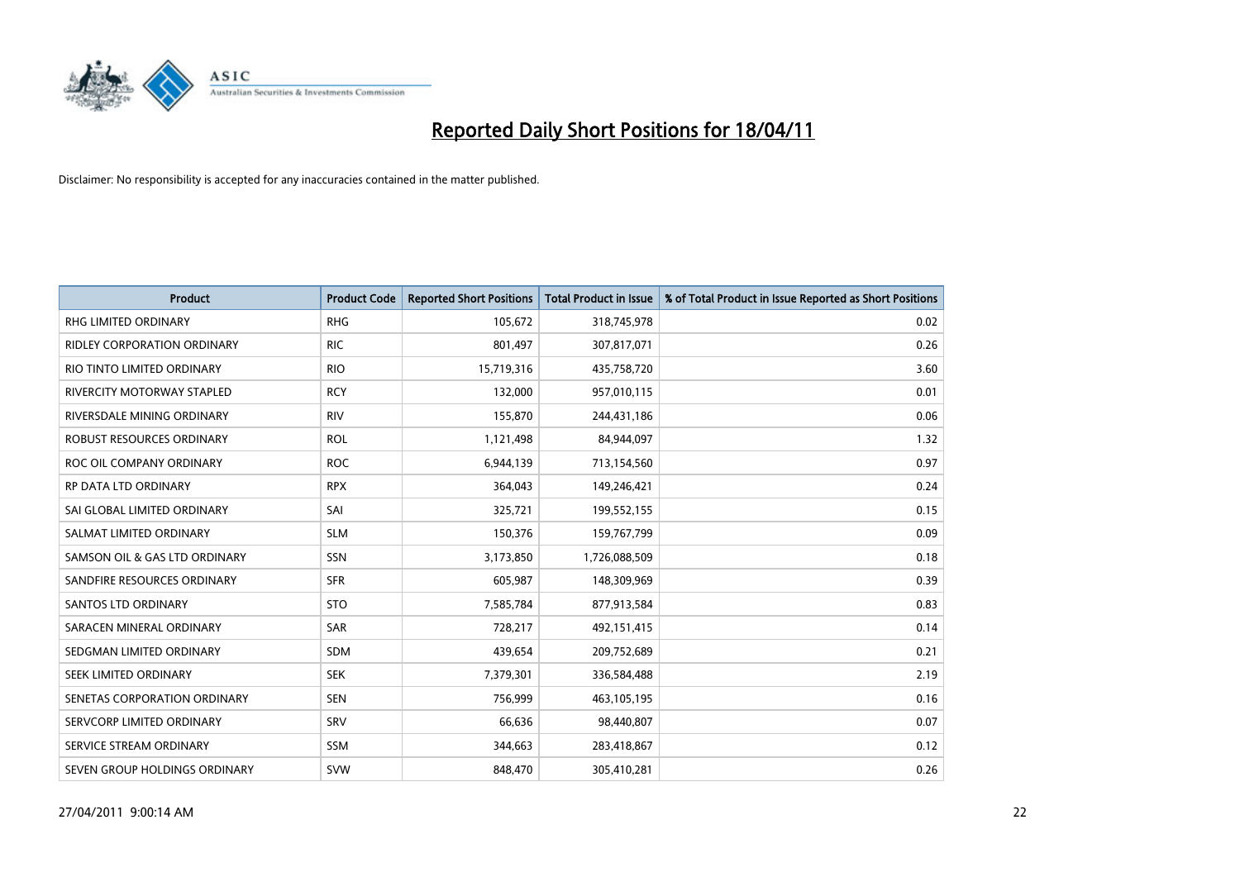

| <b>Product</b>                     | <b>Product Code</b> | <b>Reported Short Positions</b> | <b>Total Product in Issue</b> | % of Total Product in Issue Reported as Short Positions |
|------------------------------------|---------------------|---------------------------------|-------------------------------|---------------------------------------------------------|
| <b>RHG LIMITED ORDINARY</b>        | <b>RHG</b>          | 105,672                         | 318,745,978                   | 0.02                                                    |
| <b>RIDLEY CORPORATION ORDINARY</b> | <b>RIC</b>          | 801,497                         | 307,817,071                   | 0.26                                                    |
| RIO TINTO LIMITED ORDINARY         | <b>RIO</b>          | 15,719,316                      | 435,758,720                   | 3.60                                                    |
| <b>RIVERCITY MOTORWAY STAPLED</b>  | <b>RCY</b>          | 132,000                         | 957,010,115                   | 0.01                                                    |
| RIVERSDALE MINING ORDINARY         | <b>RIV</b>          | 155,870                         | 244,431,186                   | 0.06                                                    |
| ROBUST RESOURCES ORDINARY          | <b>ROL</b>          | 1,121,498                       | 84,944,097                    | 1.32                                                    |
| ROC OIL COMPANY ORDINARY           | <b>ROC</b>          | 6,944,139                       | 713,154,560                   | 0.97                                                    |
| <b>RP DATA LTD ORDINARY</b>        | <b>RPX</b>          | 364,043                         | 149,246,421                   | 0.24                                                    |
| SAI GLOBAL LIMITED ORDINARY        | SAI                 | 325,721                         | 199,552,155                   | 0.15                                                    |
| SALMAT LIMITED ORDINARY            | <b>SLM</b>          | 150,376                         | 159,767,799                   | 0.09                                                    |
| SAMSON OIL & GAS LTD ORDINARY      | SSN                 | 3,173,850                       | 1,726,088,509                 | 0.18                                                    |
| SANDFIRE RESOURCES ORDINARY        | <b>SFR</b>          | 605,987                         | 148,309,969                   | 0.39                                                    |
| <b>SANTOS LTD ORDINARY</b>         | <b>STO</b>          | 7,585,784                       | 877,913,584                   | 0.83                                                    |
| SARACEN MINERAL ORDINARY           | <b>SAR</b>          | 728,217                         | 492,151,415                   | 0.14                                                    |
| SEDGMAN LIMITED ORDINARY           | <b>SDM</b>          | 439,654                         | 209,752,689                   | 0.21                                                    |
| SEEK LIMITED ORDINARY              | <b>SEK</b>          | 7,379,301                       | 336,584,488                   | 2.19                                                    |
| SENETAS CORPORATION ORDINARY       | <b>SEN</b>          | 756,999                         | 463,105,195                   | 0.16                                                    |
| SERVCORP LIMITED ORDINARY          | SRV                 | 66,636                          | 98,440,807                    | 0.07                                                    |
| SERVICE STREAM ORDINARY            | <b>SSM</b>          | 344,663                         | 283,418,867                   | 0.12                                                    |
| SEVEN GROUP HOLDINGS ORDINARY      | <b>SVW</b>          | 848,470                         | 305,410,281                   | 0.26                                                    |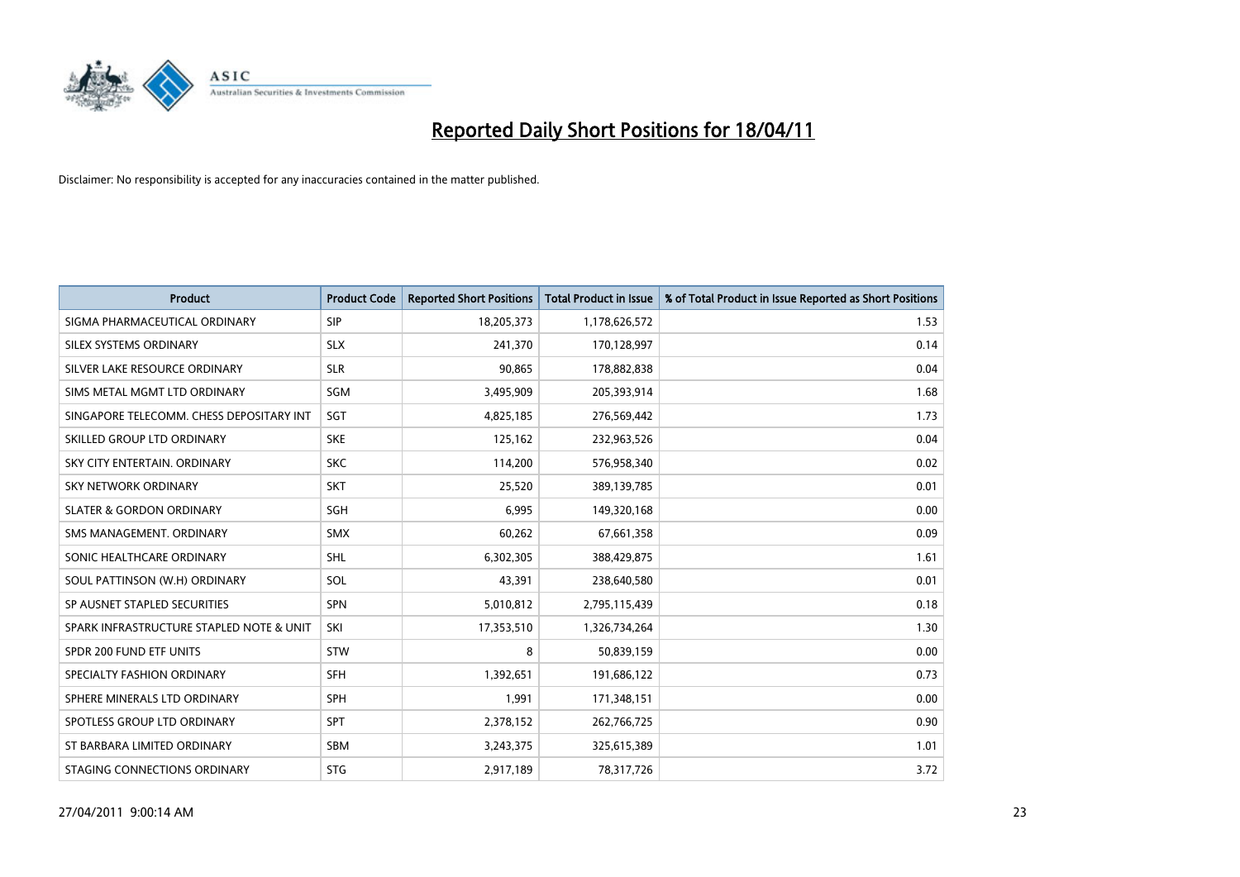

| <b>Product</b>                           | <b>Product Code</b> | <b>Reported Short Positions</b> | <b>Total Product in Issue</b> | % of Total Product in Issue Reported as Short Positions |
|------------------------------------------|---------------------|---------------------------------|-------------------------------|---------------------------------------------------------|
| SIGMA PHARMACEUTICAL ORDINARY            | SIP                 | 18,205,373                      | 1,178,626,572                 | 1.53                                                    |
| SILEX SYSTEMS ORDINARY                   | <b>SLX</b>          | 241,370                         | 170,128,997                   | 0.14                                                    |
| SILVER LAKE RESOURCE ORDINARY            | <b>SLR</b>          | 90.865                          | 178,882,838                   | 0.04                                                    |
| SIMS METAL MGMT LTD ORDINARY             | <b>SGM</b>          | 3,495,909                       | 205,393,914                   | 1.68                                                    |
| SINGAPORE TELECOMM. CHESS DEPOSITARY INT | SGT                 | 4,825,185                       | 276,569,442                   | 1.73                                                    |
| SKILLED GROUP LTD ORDINARY               | <b>SKE</b>          | 125,162                         | 232,963,526                   | 0.04                                                    |
| SKY CITY ENTERTAIN, ORDINARY             | <b>SKC</b>          | 114,200                         | 576,958,340                   | 0.02                                                    |
| SKY NETWORK ORDINARY                     | <b>SKT</b>          | 25,520                          | 389,139,785                   | 0.01                                                    |
| <b>SLATER &amp; GORDON ORDINARY</b>      | SGH                 | 6,995                           | 149,320,168                   | 0.00                                                    |
| SMS MANAGEMENT, ORDINARY                 | <b>SMX</b>          | 60,262                          | 67,661,358                    | 0.09                                                    |
| SONIC HEALTHCARE ORDINARY                | <b>SHL</b>          | 6,302,305                       | 388,429,875                   | 1.61                                                    |
| SOUL PATTINSON (W.H) ORDINARY            | SOL                 | 43,391                          | 238,640,580                   | 0.01                                                    |
| SP AUSNET STAPLED SECURITIES             | <b>SPN</b>          | 5,010,812                       | 2,795,115,439                 | 0.18                                                    |
| SPARK INFRASTRUCTURE STAPLED NOTE & UNIT | SKI                 | 17,353,510                      | 1,326,734,264                 | 1.30                                                    |
| SPDR 200 FUND ETF UNITS                  | STW                 | 8                               | 50,839,159                    | 0.00                                                    |
| SPECIALTY FASHION ORDINARY               | <b>SFH</b>          | 1,392,651                       | 191,686,122                   | 0.73                                                    |
| SPHERE MINERALS LTD ORDINARY             | <b>SPH</b>          | 1,991                           | 171,348,151                   | 0.00                                                    |
| SPOTLESS GROUP LTD ORDINARY              | <b>SPT</b>          | 2,378,152                       | 262,766,725                   | 0.90                                                    |
| ST BARBARA LIMITED ORDINARY              | SBM                 | 3,243,375                       | 325,615,389                   | 1.01                                                    |
| STAGING CONNECTIONS ORDINARY             | <b>STG</b>          | 2,917,189                       | 78,317,726                    | 3.72                                                    |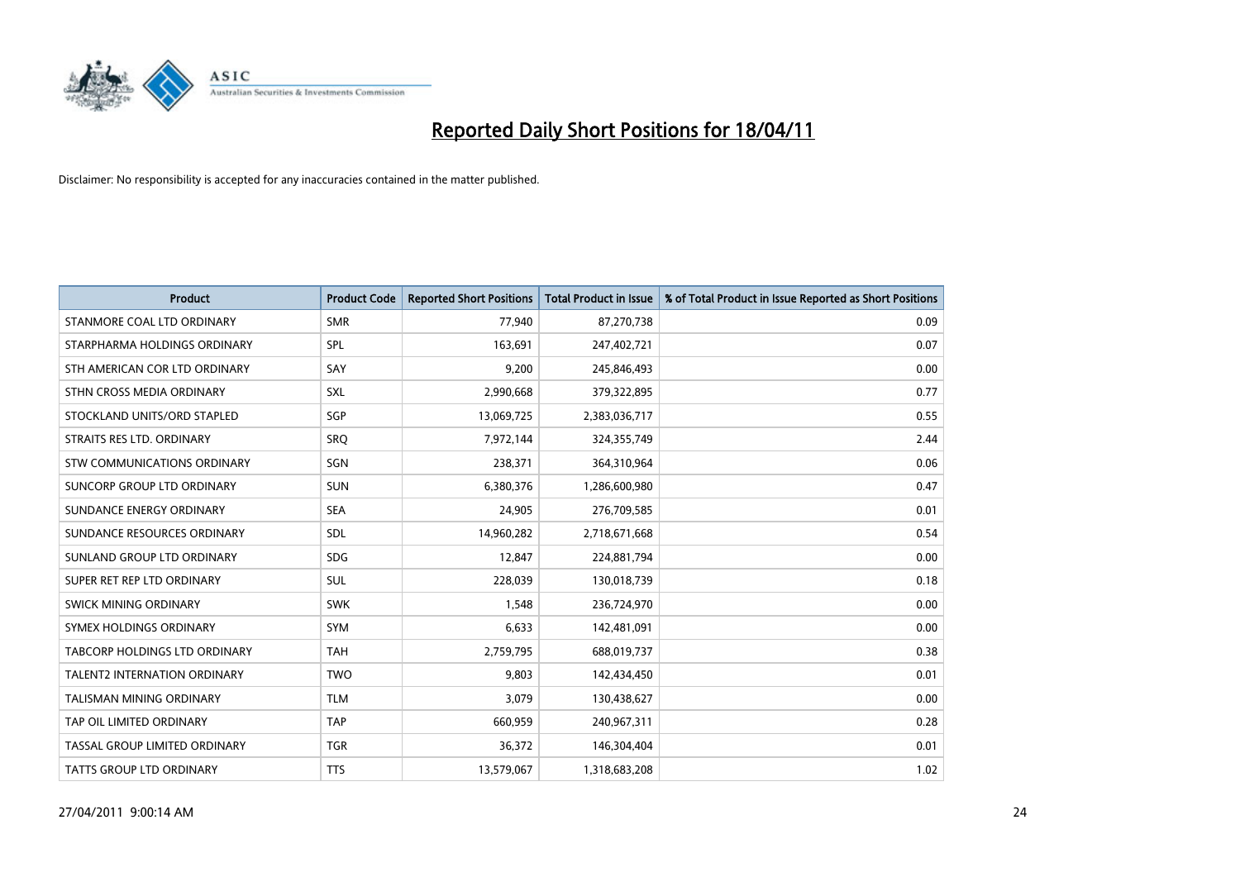

| <b>Product</b>                     | <b>Product Code</b> | <b>Reported Short Positions</b> | Total Product in Issue | % of Total Product in Issue Reported as Short Positions |
|------------------------------------|---------------------|---------------------------------|------------------------|---------------------------------------------------------|
| STANMORE COAL LTD ORDINARY         | <b>SMR</b>          | 77,940                          | 87,270,738             | 0.09                                                    |
| STARPHARMA HOLDINGS ORDINARY       | SPL                 | 163,691                         | 247,402,721            | 0.07                                                    |
| STH AMERICAN COR LTD ORDINARY      | SAY                 | 9,200                           | 245,846,493            | 0.00                                                    |
| STHN CROSS MEDIA ORDINARY          | <b>SXL</b>          | 2,990,668                       | 379,322,895            | 0.77                                                    |
| STOCKLAND UNITS/ORD STAPLED        | SGP                 | 13,069,725                      | 2,383,036,717          | 0.55                                                    |
| STRAITS RES LTD. ORDINARY          | SRQ                 | 7,972,144                       | 324,355,749            | 2.44                                                    |
| <b>STW COMMUNICATIONS ORDINARY</b> | SGN                 | 238,371                         | 364,310,964            | 0.06                                                    |
| SUNCORP GROUP LTD ORDINARY         | <b>SUN</b>          | 6,380,376                       | 1,286,600,980          | 0.47                                                    |
| SUNDANCE ENERGY ORDINARY           | <b>SEA</b>          | 24,905                          | 276,709,585            | 0.01                                                    |
| SUNDANCE RESOURCES ORDINARY        | <b>SDL</b>          | 14,960,282                      | 2,718,671,668          | 0.54                                                    |
| SUNLAND GROUP LTD ORDINARY         | <b>SDG</b>          | 12,847                          | 224,881,794            | 0.00                                                    |
| SUPER RET REP LTD ORDINARY         | <b>SUL</b>          | 228,039                         | 130,018,739            | 0.18                                                    |
| SWICK MINING ORDINARY              | <b>SWK</b>          | 1,548                           | 236,724,970            | 0.00                                                    |
| SYMEX HOLDINGS ORDINARY            | <b>SYM</b>          | 6,633                           | 142,481,091            | 0.00                                                    |
| TABCORP HOLDINGS LTD ORDINARY      | <b>TAH</b>          | 2,759,795                       | 688,019,737            | 0.38                                                    |
| TALENT2 INTERNATION ORDINARY       | <b>TWO</b>          | 9,803                           | 142,434,450            | 0.01                                                    |
| <b>TALISMAN MINING ORDINARY</b>    | <b>TLM</b>          | 3,079                           | 130,438,627            | 0.00                                                    |
| TAP OIL LIMITED ORDINARY           | <b>TAP</b>          | 660,959                         | 240,967,311            | 0.28                                                    |
| TASSAL GROUP LIMITED ORDINARY      | <b>TGR</b>          | 36,372                          | 146,304,404            | 0.01                                                    |
| TATTS GROUP LTD ORDINARY           | <b>TTS</b>          | 13,579,067                      | 1,318,683,208          | 1.02                                                    |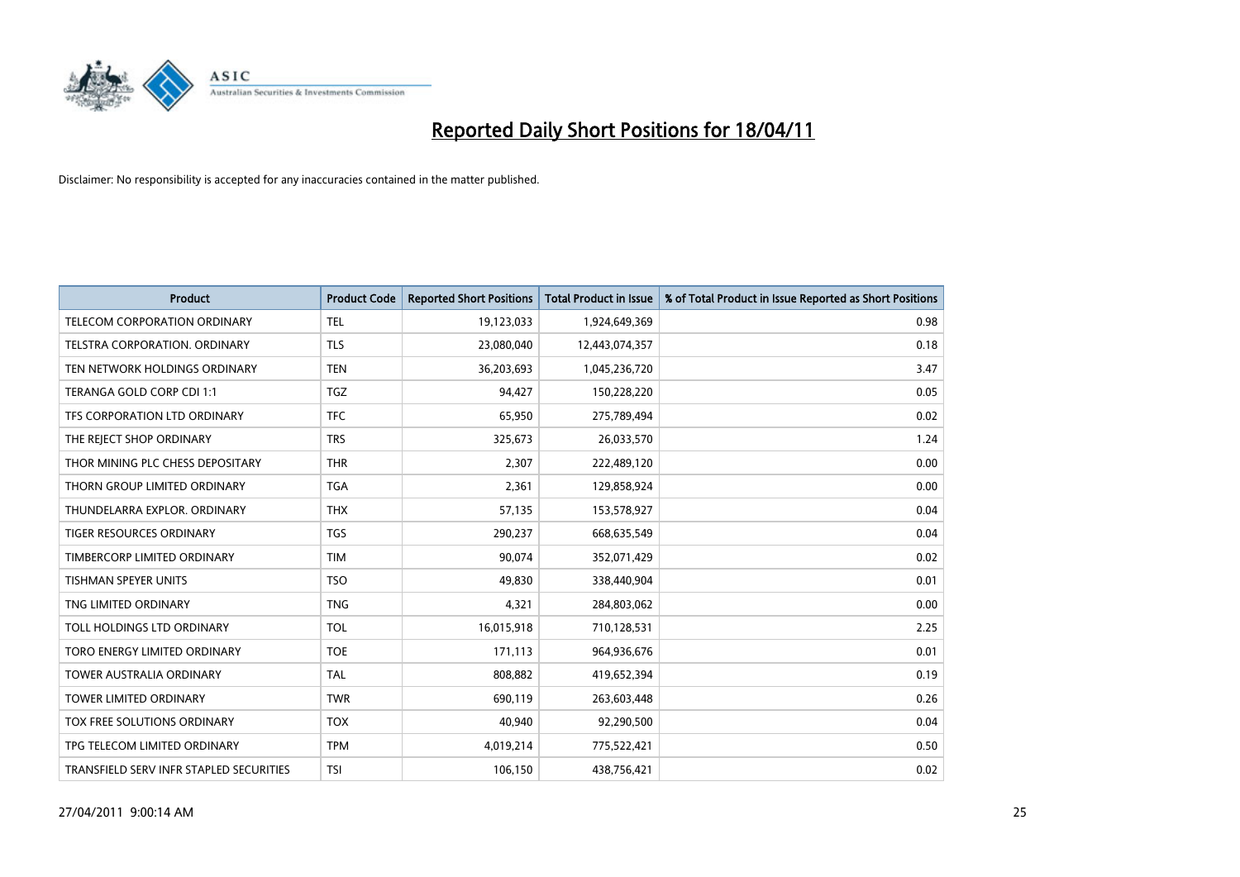

| <b>Product</b>                          | <b>Product Code</b> | <b>Reported Short Positions</b> | <b>Total Product in Issue</b> | % of Total Product in Issue Reported as Short Positions |
|-----------------------------------------|---------------------|---------------------------------|-------------------------------|---------------------------------------------------------|
| TELECOM CORPORATION ORDINARY            | <b>TEL</b>          | 19,123,033                      | 1,924,649,369                 | 0.98                                                    |
| <b>TELSTRA CORPORATION, ORDINARY</b>    | <b>TLS</b>          | 23,080,040                      | 12,443,074,357                | 0.18                                                    |
| TEN NETWORK HOLDINGS ORDINARY           | <b>TEN</b>          | 36,203,693                      | 1,045,236,720                 | 3.47                                                    |
| TERANGA GOLD CORP CDI 1:1               | <b>TGZ</b>          | 94,427                          | 150,228,220                   | 0.05                                                    |
| TFS CORPORATION LTD ORDINARY            | <b>TFC</b>          | 65,950                          | 275,789,494                   | 0.02                                                    |
| THE REJECT SHOP ORDINARY                | <b>TRS</b>          | 325,673                         | 26,033,570                    | 1.24                                                    |
| THOR MINING PLC CHESS DEPOSITARY        | <b>THR</b>          | 2.307                           | 222,489,120                   | 0.00                                                    |
| THORN GROUP LIMITED ORDINARY            | <b>TGA</b>          | 2,361                           | 129,858,924                   | 0.00                                                    |
| THUNDELARRA EXPLOR. ORDINARY            | <b>THX</b>          | 57,135                          | 153,578,927                   | 0.04                                                    |
| <b>TIGER RESOURCES ORDINARY</b>         | <b>TGS</b>          | 290,237                         | 668,635,549                   | 0.04                                                    |
| TIMBERCORP LIMITED ORDINARY             | <b>TIM</b>          | 90.074                          | 352,071,429                   | 0.02                                                    |
| <b>TISHMAN SPEYER UNITS</b>             | <b>TSO</b>          | 49,830                          | 338,440,904                   | 0.01                                                    |
| TNG LIMITED ORDINARY                    | <b>TNG</b>          | 4,321                           | 284,803,062                   | 0.00                                                    |
| TOLL HOLDINGS LTD ORDINARY              | <b>TOL</b>          | 16,015,918                      | 710,128,531                   | 2.25                                                    |
| TORO ENERGY LIMITED ORDINARY            | <b>TOE</b>          | 171,113                         | 964,936,676                   | 0.01                                                    |
| <b>TOWER AUSTRALIA ORDINARY</b>         | <b>TAL</b>          | 808,882                         | 419,652,394                   | 0.19                                                    |
| <b>TOWER LIMITED ORDINARY</b>           | <b>TWR</b>          | 690,119                         | 263,603,448                   | 0.26                                                    |
| TOX FREE SOLUTIONS ORDINARY             | <b>TOX</b>          | 40,940                          | 92,290,500                    | 0.04                                                    |
| TPG TELECOM LIMITED ORDINARY            | <b>TPM</b>          | 4,019,214                       | 775,522,421                   | 0.50                                                    |
| TRANSFIELD SERV INFR STAPLED SECURITIES | <b>TSI</b>          | 106,150                         | 438,756,421                   | 0.02                                                    |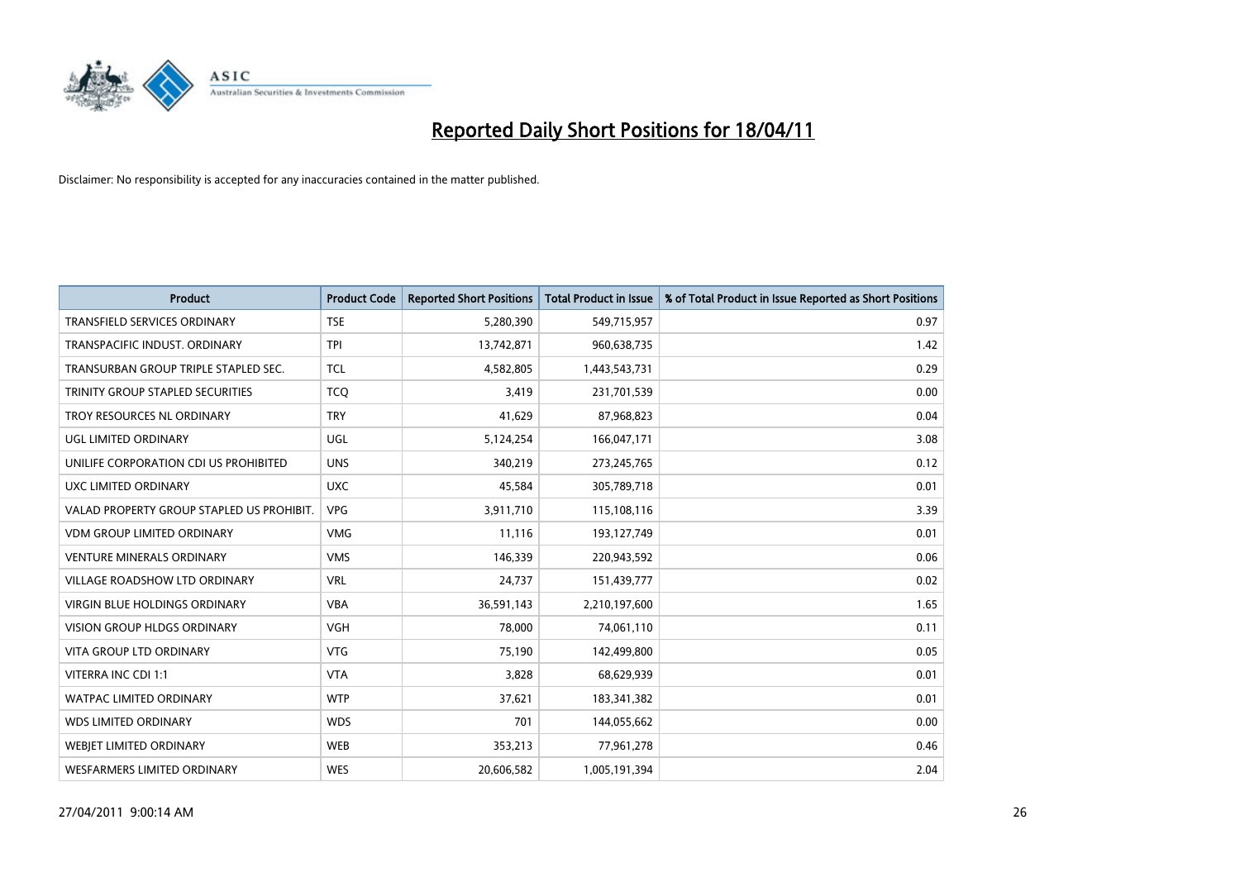

| <b>Product</b>                            | <b>Product Code</b> | <b>Reported Short Positions</b> | <b>Total Product in Issue</b> | % of Total Product in Issue Reported as Short Positions |
|-------------------------------------------|---------------------|---------------------------------|-------------------------------|---------------------------------------------------------|
| <b>TRANSFIELD SERVICES ORDINARY</b>       | <b>TSE</b>          | 5,280,390                       | 549,715,957                   | 0.97                                                    |
| TRANSPACIFIC INDUST. ORDINARY             | <b>TPI</b>          | 13,742,871                      | 960,638,735                   | 1.42                                                    |
| TRANSURBAN GROUP TRIPLE STAPLED SEC.      | <b>TCL</b>          | 4,582,805                       | 1,443,543,731                 | 0.29                                                    |
| TRINITY GROUP STAPLED SECURITIES          | <b>TCQ</b>          | 3,419                           | 231,701,539                   | 0.00                                                    |
| TROY RESOURCES NL ORDINARY                | <b>TRY</b>          | 41,629                          | 87,968,823                    | 0.04                                                    |
| UGL LIMITED ORDINARY                      | <b>UGL</b>          | 5,124,254                       | 166,047,171                   | 3.08                                                    |
| UNILIFE CORPORATION CDI US PROHIBITED     | <b>UNS</b>          | 340,219                         | 273,245,765                   | 0.12                                                    |
| UXC LIMITED ORDINARY                      | <b>UXC</b>          | 45,584                          | 305,789,718                   | 0.01                                                    |
| VALAD PROPERTY GROUP STAPLED US PROHIBIT. | <b>VPG</b>          | 3,911,710                       | 115,108,116                   | 3.39                                                    |
| <b>VDM GROUP LIMITED ORDINARY</b>         | <b>VMG</b>          | 11,116                          | 193,127,749                   | 0.01                                                    |
| <b>VENTURE MINERALS ORDINARY</b>          | <b>VMS</b>          | 146,339                         | 220,943,592                   | 0.06                                                    |
| <b>VILLAGE ROADSHOW LTD ORDINARY</b>      | <b>VRL</b>          | 24,737                          | 151,439,777                   | 0.02                                                    |
| VIRGIN BLUE HOLDINGS ORDINARY             | <b>VBA</b>          | 36,591,143                      | 2,210,197,600                 | 1.65                                                    |
| <b>VISION GROUP HLDGS ORDINARY</b>        | <b>VGH</b>          | 78,000                          | 74,061,110                    | 0.11                                                    |
| <b>VITA GROUP LTD ORDINARY</b>            | <b>VTG</b>          | 75,190                          | 142,499,800                   | 0.05                                                    |
| VITERRA INC CDI 1:1                       | <b>VTA</b>          | 3,828                           | 68,629,939                    | 0.01                                                    |
| WATPAC LIMITED ORDINARY                   | <b>WTP</b>          | 37,621                          | 183,341,382                   | 0.01                                                    |
| WDS LIMITED ORDINARY                      | <b>WDS</b>          | 701                             | 144,055,662                   | 0.00                                                    |
| <b>WEBJET LIMITED ORDINARY</b>            | WEB                 | 353,213                         | 77,961,278                    | 0.46                                                    |
| WESFARMERS LIMITED ORDINARY               | <b>WES</b>          | 20,606,582                      | 1,005,191,394                 | 2.04                                                    |